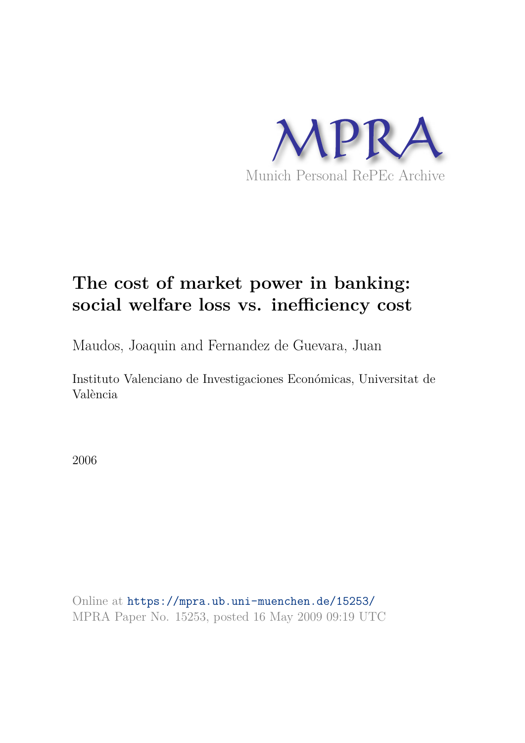

# **The cost of market power in banking: social welfare loss vs. inefficiency cost**

Maudos, Joaquin and Fernandez de Guevara, Juan

Instituto Valenciano de Investigaciones Económicas, Universitat de València

2006

Online at https://mpra.ub.uni-muenchen.de/15253/ MPRA Paper No. 15253, posted 16 May 2009 09:19 UTC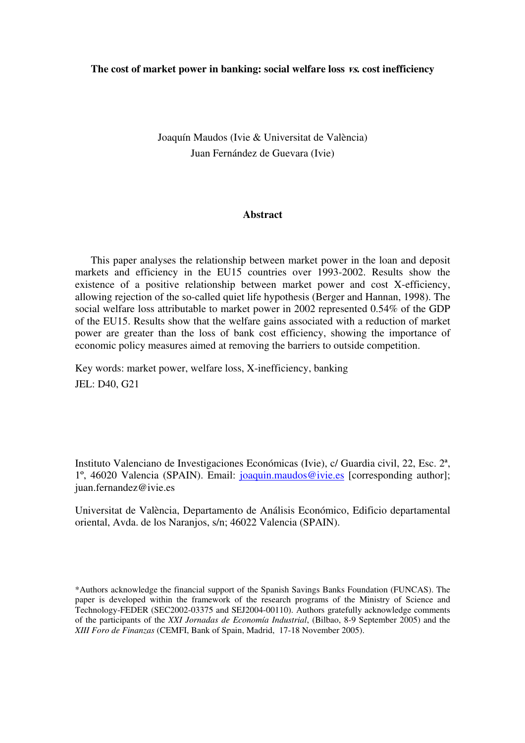### **The cost of market power in banking: social welfare loss vs. cost inefficiency**

Joaquín Maudos (Ivie & Universitat de València) Juan Fernández de Guevara (Ivie)

#### **Abstract**

This paper analyses the relationship between market power in the loan and deposit markets and efficiency in the EU15 countries over 1993-2002. Results show the existence of a positive relationship between market power and cost X-efficiency, allowing rejection of the so-called quiet life hypothesis (Berger and Hannan, 1998). The social welfare loss attributable to market power in 2002 represented 0.54% of the GDP of the EU15. Results show that the welfare gains associated with a reduction of market power are greater than the loss of bank cost efficiency, showing the importance of economic policy measures aimed at removing the barriers to outside competition.

Key words: market power, welfare loss, X-inefficiency, banking JEL: D40, G21

Instituto Valenciano de Investigaciones Económicas (Ivie), c/ Guardia civil, 22, Esc. 2ª, 1º, 46020 Valencia (SPAIN). Email: joaquin.maudos@ivie.es [corresponding author]; juan.fernandez@ivie.es

Universitat de València, Departamento de Análisis Económico, Edificio departamental oriental, Avda. de los Naranjos, s/n; 46022 Valencia (SPAIN).

<sup>\*</sup>Authors acknowledge the financial support of the Spanish Savings Banks Foundation (FUNCAS). The paper is developed within the framework of the research programs of the Ministry of Science and Technology-FEDER (SEC2002-03375 and SEJ2004-00110). Authors gratefully acknowledge comments of the participants of the *XXI Jornadas de Economía Industrial*, (Bilbao, 8-9 September 2005) and the *XIII Foro de Finanzas* (CEMFI, Bank of Spain, Madrid, 17-18 November 2005).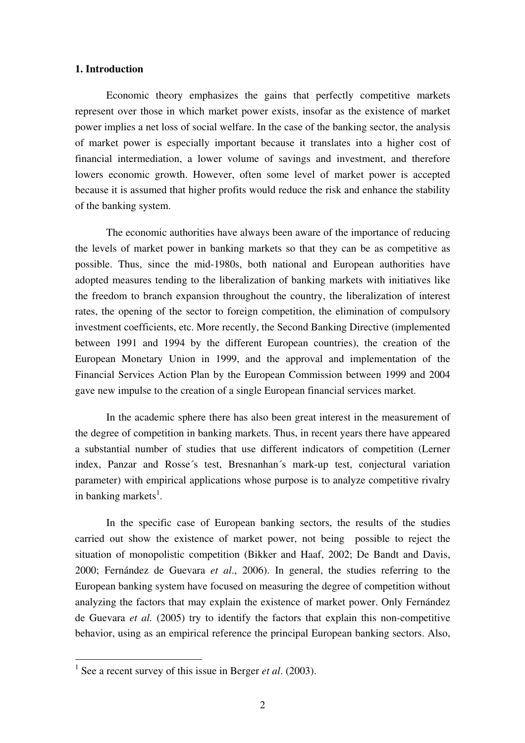## **1. Introduction**

Economic theory emphasizes the gains that perfectly competitive markets represent over those in which market power exists, insofar as the existence of market power implies a net loss of social welfare. In the case of the banking sector, the analysis of market power is especially important because it translates into a higher cost of financial intermediation, a lower volume of savings and investment, and therefore lowers economic growth. However, often some level of market power is accepted because it is assumed that higher profits would reduce the risk and enhance the stability of the banking system.

The economic authorities have always been aware of the importance of reducing the levels of market power in banking markets so that they can be as competitive as possible. Thus, since the mid-1980s, both national and European authorities have adopted measures tending to the liberalization of banking markets with initiatives like the freedom to branch expansion throughout the country, the liberalization of interest rates, the opening of the sector to foreign competition, the elimination of compulsory investment coefficients, etc. More recently, the Second Banking Directive (implemented between 1991 and 1994 by the different European countries), the creation of the European Monetary Union in 1999, and the approval and implementation of the Financial Services Action Plan by the European Commission between 1999 and 2004 gave new impulse to the creation of a single European financial services market.

In the academic sphere there has also been great interest in the measurement of the degree of competition in banking markets. Thus, in recent years there have appeared a substantial number of studies that use different indicators of competition (Lerner index, Panzar and Rosse´s test, Bresnanhan´s mark-up test, conjectural variation parameter) with empirical applications whose purpose is to analyze competitive rivalry in banking markets<sup>1</sup>.

In the specific case of European banking sectors, the results of the studies carried out show the existence of market power, not being possible to reject the situation of monopolistic competition (Bikker and Haaf, 2002; De Bandt and Davis, 2000; Fernández de Guevara *et al*., 2006). In general, the studies referring to the European banking system have focused on measuring the degree of competition without analyzing the factors that may explain the existence of market power. Only Fernández de Guevara *et al.* (2005) try to identify the factors that explain this non-competitive behavior, using as an empirical reference the principal European banking sectors. Also,

 $\overline{a}$ 

<sup>&</sup>lt;sup>1</sup> See a recent survey of this issue in Berger *et al.* (2003).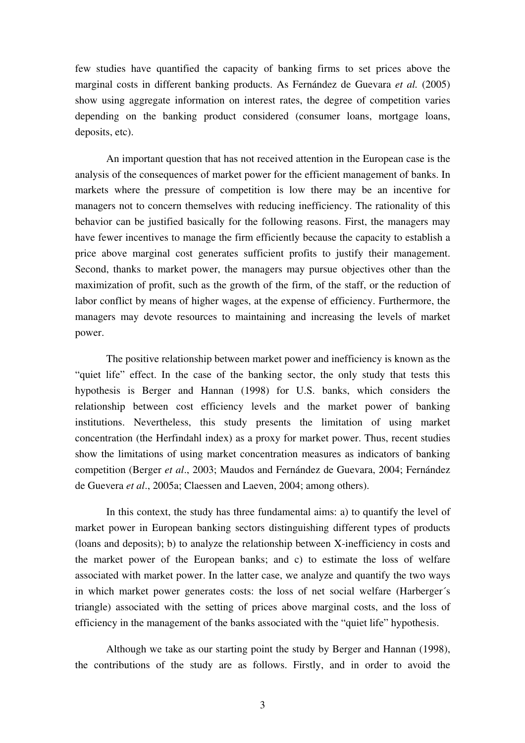few studies have quantified the capacity of banking firms to set prices above the marginal costs in different banking products. As Fernández de Guevara *et al.* (2005) show using aggregate information on interest rates, the degree of competition varies depending on the banking product considered (consumer loans, mortgage loans, deposits, etc).

An important question that has not received attention in the European case is the analysis of the consequences of market power for the efficient management of banks. In markets where the pressure of competition is low there may be an incentive for managers not to concern themselves with reducing inefficiency. The rationality of this behavior can be justified basically for the following reasons. First, the managers may have fewer incentives to manage the firm efficiently because the capacity to establish a price above marginal cost generates sufficient profits to justify their management. Second, thanks to market power, the managers may pursue objectives other than the maximization of profit, such as the growth of the firm, of the staff, or the reduction of labor conflict by means of higher wages, at the expense of efficiency. Furthermore, the managers may devote resources to maintaining and increasing the levels of market power.

The positive relationship between market power and inefficiency is known as the "quiet life" effect. In the case of the banking sector, the only study that tests this hypothesis is Berger and Hannan (1998) for U.S. banks, which considers the relationship between cost efficiency levels and the market power of banking institutions. Nevertheless, this study presents the limitation of using market concentration (the Herfindahl index) as a proxy for market power. Thus, recent studies show the limitations of using market concentration measures as indicators of banking competition (Berger *et al*., 2003; Maudos and Fernández de Guevara, 2004; Fernández de Guevera *et al*., 2005a; Claessen and Laeven, 2004; among others).

In this context, the study has three fundamental aims: a) to quantify the level of market power in European banking sectors distinguishing different types of products (loans and deposits); b) to analyze the relationship between X-inefficiency in costs and the market power of the European banks; and c) to estimate the loss of welfare associated with market power. In the latter case, we analyze and quantify the two ways in which market power generates costs: the loss of net social welfare (Harberger´s triangle) associated with the setting of prices above marginal costs, and the loss of efficiency in the management of the banks associated with the "quiet life" hypothesis.

Although we take as our starting point the study by Berger and Hannan (1998), the contributions of the study are as follows. Firstly, and in order to avoid the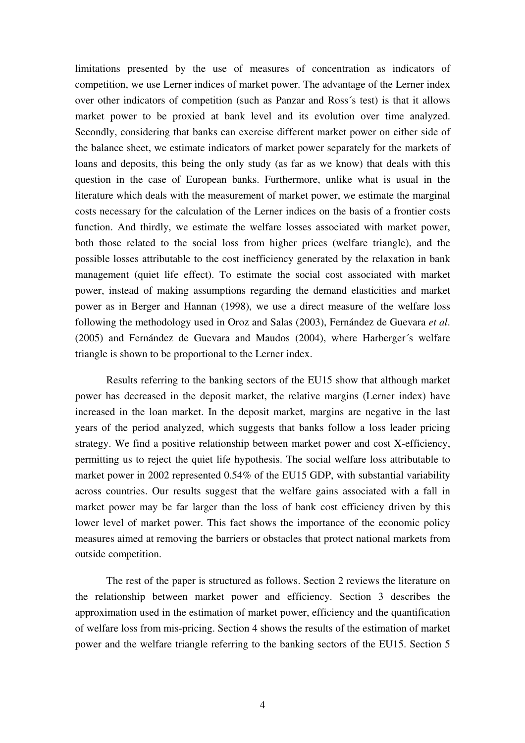limitations presented by the use of measures of concentration as indicators of competition, we use Lerner indices of market power. The advantage of the Lerner index over other indicators of competition (such as Panzar and Ross´s test) is that it allows market power to be proxied at bank level and its evolution over time analyzed. Secondly, considering that banks can exercise different market power on either side of the balance sheet, we estimate indicators of market power separately for the markets of loans and deposits, this being the only study (as far as we know) that deals with this question in the case of European banks. Furthermore, unlike what is usual in the literature which deals with the measurement of market power, we estimate the marginal costs necessary for the calculation of the Lerner indices on the basis of a frontier costs function. And thirdly, we estimate the welfare losses associated with market power, both those related to the social loss from higher prices (welfare triangle), and the possible losses attributable to the cost inefficiency generated by the relaxation in bank management (quiet life effect). To estimate the social cost associated with market power, instead of making assumptions regarding the demand elasticities and market power as in Berger and Hannan (1998), we use a direct measure of the welfare loss following the methodology used in Oroz and Salas (2003), Fernández de Guevara *et al*. (2005) and Fernández de Guevara and Maudos (2004), where Harberger´s welfare triangle is shown to be proportional to the Lerner index.

Results referring to the banking sectors of the EU15 show that although market power has decreased in the deposit market, the relative margins (Lerner index) have increased in the loan market. In the deposit market, margins are negative in the last years of the period analyzed, which suggests that banks follow a loss leader pricing strategy. We find a positive relationship between market power and cost X-efficiency, permitting us to reject the quiet life hypothesis. The social welfare loss attributable to market power in 2002 represented 0.54% of the EU15 GDP, with substantial variability across countries. Our results suggest that the welfare gains associated with a fall in market power may be far larger than the loss of bank cost efficiency driven by this lower level of market power. This fact shows the importance of the economic policy measures aimed at removing the barriers or obstacles that protect national markets from outside competition.

The rest of the paper is structured as follows. Section 2 reviews the literature on the relationship between market power and efficiency. Section 3 describes the approximation used in the estimation of market power, efficiency and the quantification of welfare loss from mis-pricing. Section 4 shows the results of the estimation of market power and the welfare triangle referring to the banking sectors of the EU15. Section 5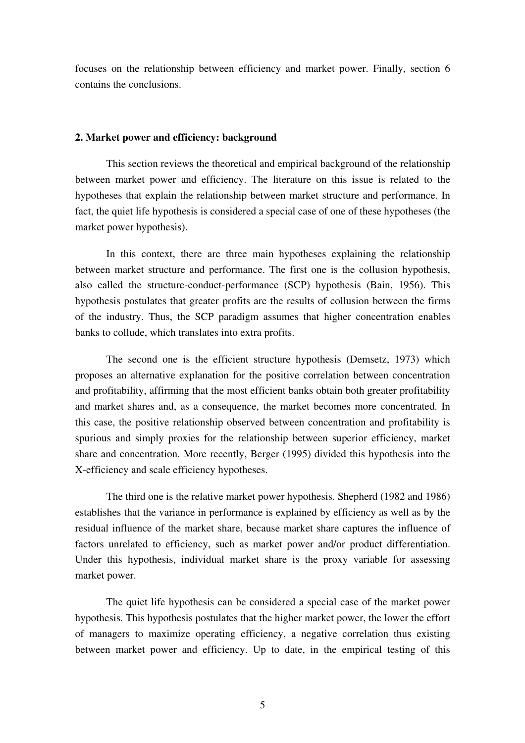focuses on the relationship between efficiency and market power. Finally, section 6 contains the conclusions.

#### **2. Market power and efficiency: background**

 This section reviews the theoretical and empirical background of the relationship between market power and efficiency. The literature on this issue is related to the hypotheses that explain the relationship between market structure and performance. In fact, the quiet life hypothesis is considered a special case of one of these hypotheses (the market power hypothesis).

 In this context, there are three main hypotheses explaining the relationship between market structure and performance. The first one is the collusion hypothesis, also called the structure-conduct-performance (SCP) hypothesis (Bain, 1956). This hypothesis postulates that greater profits are the results of collusion between the firms of the industry. Thus, the SCP paradigm assumes that higher concentration enables banks to collude, which translates into extra profits.

 The second one is the efficient structure hypothesis (Demsetz, 1973) which proposes an alternative explanation for the positive correlation between concentration and profitability, affirming that the most efficient banks obtain both greater profitability and market shares and, as a consequence, the market becomes more concentrated. In this case, the positive relationship observed between concentration and profitability is spurious and simply proxies for the relationship between superior efficiency, market share and concentration. More recently, Berger (1995) divided this hypothesis into the X-efficiency and scale efficiency hypotheses.

 The third one is the relative market power hypothesis. Shepherd (1982 and 1986) establishes that the variance in performance is explained by efficiency as well as by the residual influence of the market share, because market share captures the influence of factors unrelated to efficiency, such as market power and/or product differentiation. Under this hypothesis, individual market share is the proxy variable for assessing market power.

 The quiet life hypothesis can be considered a special case of the market power hypothesis. This hypothesis postulates that the higher market power, the lower the effort of managers to maximize operating efficiency, a negative correlation thus existing between market power and efficiency. Up to date, in the empirical testing of this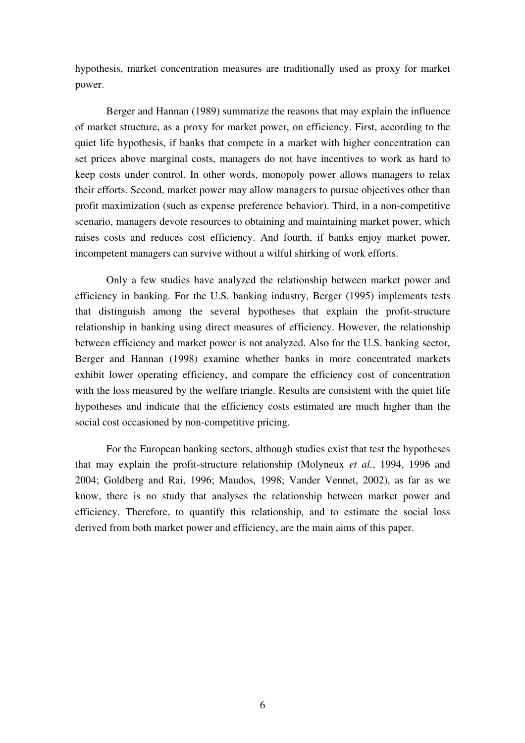hypothesis, market concentration measures are traditionally used as proxy for market power.

 Berger and Hannan (1989) summarize the reasons that may explain the influence of market structure, as a proxy for market power, on efficiency. First, according to the quiet life hypothesis, if banks that compete in a market with higher concentration can set prices above marginal costs, managers do not have incentives to work as hard to keep costs under control. In other words, monopoly power allows managers to relax their efforts. Second, market power may allow managers to pursue objectives other than profit maximization (such as expense preference behavior). Third, in a non-competitive scenario, managers devote resources to obtaining and maintaining market power, which raises costs and reduces cost efficiency. And fourth, if banks enjoy market power, incompetent managers can survive without a wilful shirking of work efforts.

 Only a few studies have analyzed the relationship between market power and efficiency in banking. For the U.S. banking industry, Berger (1995) implements tests that distinguish among the several hypotheses that explain the profit-structure relationship in banking using direct measures of efficiency. However, the relationship between efficiency and market power is not analyzed. Also for the U.S. banking sector, Berger and Hannan (1998) examine whether banks in more concentrated markets exhibit lower operating efficiency, and compare the efficiency cost of concentration with the loss measured by the welfare triangle. Results are consistent with the quiet life hypotheses and indicate that the efficiency costs estimated are much higher than the social cost occasioned by non-competitive pricing.

 For the European banking sectors, although studies exist that test the hypotheses that may explain the profit-structure relationship (Molyneux *et al.*, 1994, 1996 and 2004; Goldberg and Rai, 1996; Maudos, 1998; Vander Vennet, 2002), as far as we know, there is no study that analyses the relationship between market power and efficiency. Therefore, to quantify this relationship, and to estimate the social loss derived from both market power and efficiency, are the main aims of this paper.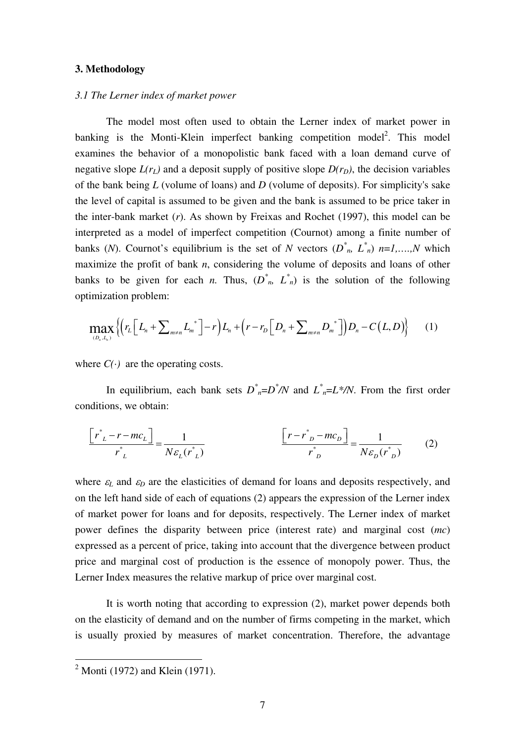## **3. Methodology**

## *3.1 The Lerner index of market power*

 The model most often used to obtain the Lerner index of market power in banking is the Monti-Klein imperfect banking competition model<sup>2</sup>. This model examines the behavior of a monopolistic bank faced with a loan demand curve of negative slope  $L(r_L)$  and a deposit supply of positive slope  $D(r_D)$ , the decision variables of the bank being *L* (volume of loans) and *D* (volume of deposits). For simplicity's sake the level of capital is assumed to be given and the bank is assumed to be price taker in the inter-bank market (*r*). As shown by Freixas and Rochet (1997), this model can be interpreted as a model of imperfect competition (Cournot) among a finite number of banks (*N*). Cournot's equilibrium is the set of *N* vectors  $(D^*_{n}, L^*_{n})$  *n*=*1*,…,*N* which maximize the profit of bank *n*, considering the volume of deposits and loans of other banks to be given for each *n*. Thus,  $(D^*, L^*)$  is the solution of the following optimization problem:

$$
\max_{(D_n,L_n)} \left\{ \left( r_L \left[ L_n + \sum_{m \neq n} L_m^{*} \right] - r \right) L_n + \left( r - r_D \left[ D_n + \sum_{m \neq n} D_m^{*} \right] \right) D_n - C \left( L, D \right) \right\} \tag{1}
$$

where  $C(\cdot)$  are the operating costs.

In equilibrium, each bank sets  $D^*_{n}=D^*/N$  and  $L^*_{n}=L^*/N$ . From the first order conditions, we obtain:

$$
\frac{\left[r_{\,L}^{*} - r - mc_{L}\right]}{r_{\,L}^{*}} = \frac{1}{N\varepsilon_{L}(r_{\,L}^{*})}
$$
\n
$$
\frac{\left[r - r_{\,D}^{*} - mc_{D}\right]}{r_{\,D}^{*}} = \frac{1}{N\varepsilon_{D}(r_{\,D}^{*})}
$$
\n(2)

where  $\varepsilon_L$  and  $\varepsilon_D$  are the elasticities of demand for loans and deposits respectively, and on the left hand side of each of equations (2) appears the expression of the Lerner index of market power for loans and for deposits, respectively. The Lerner index of market power defines the disparity between price (interest rate) and marginal cost (*mc*) expressed as a percent of price, taking into account that the divergence between product price and marginal cost of production is the essence of monopoly power. Thus, the Lerner Index measures the relative markup of price over marginal cost.

 It is worth noting that according to expression (2), market power depends both on the elasticity of demand and on the number of firms competing in the market, which is usually proxied by measures of market concentration. Therefore, the advantage

 $\overline{a}$ 

 $<sup>2</sup>$  Monti (1972) and Klein (1971).</sup>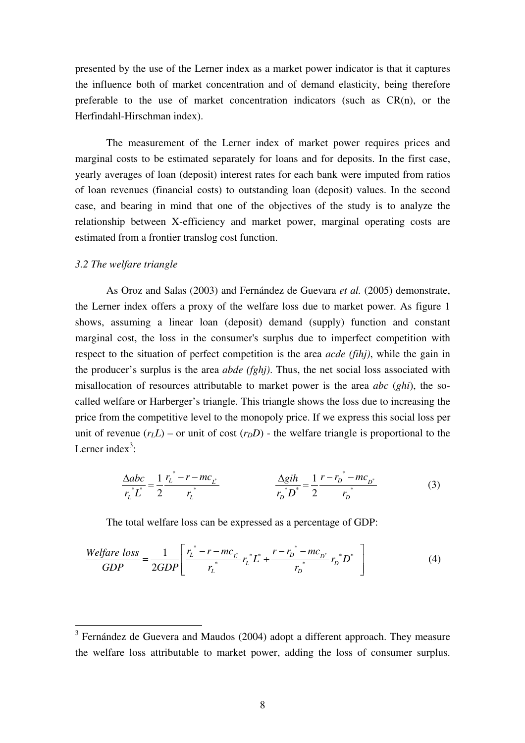presented by the use of the Lerner index as a market power indicator is that it captures the influence both of market concentration and of demand elasticity, being therefore preferable to the use of market concentration indicators (such as  $CR(n)$ , or the Herfindahl-Hirschman index).

 The measurement of the Lerner index of market power requires prices and marginal costs to be estimated separately for loans and for deposits. In the first case, yearly averages of loan (deposit) interest rates for each bank were imputed from ratios of loan revenues (financial costs) to outstanding loan (deposit) values. In the second case, and bearing in mind that one of the objectives of the study is to analyze the relationship between X-efficiency and market power, marginal operating costs are estimated from a frontier translog cost function.

## *3.2 The welfare triangle*

As Oroz and Salas (2003) and Fernández de Guevara *et al.* (2005) demonstrate, the Lerner index offers a proxy of the welfare loss due to market power. As figure 1 shows, assuming a linear loan (deposit) demand (supply) function and constant marginal cost, the loss in the consumer's surplus due to imperfect competition with respect to the situation of perfect competition is the area *acde (fihj)*, while the gain in the producer's surplus is the area *abde (fghj)*. Thus, the net social loss associated with misallocation of resources attributable to market power is the area *abc* (*ghi*), the socalled welfare or Harberger's triangle. This triangle shows the loss due to increasing the price from the competitive level to the monopoly price. If we express this social loss per unit of revenue  $(r_L L)$  – or unit of cost  $(r_D D)$  - the welfare triangle is proportional to the Lerner index<sup>3</sup>:

$$
\frac{\Delta abc}{r_L^* L^*} = \frac{1}{2} \frac{r_L^* - r - mc_{\tilde{L}}}{r_L^*} \qquad \frac{\Delta gih}{r_D^* D^*} = \frac{1}{2} \frac{r - r_D^* - mc_{\tilde{L}}}{r_D^*}
$$
(3)

The total welfare loss can be expressed as a percentage of GDP:

$$
\frac{Welfare \text{ loss}}{GDP} = \frac{1}{2GDP} \left[ \frac{r_L^* - r - mc_L}{r_L^*} r_L^* L^* + \frac{r - r_D^* - mc_D^*}{r_D^*} r_D^* D^* \right]
$$
(4)

<sup>&</sup>lt;sup>3</sup> Fernández de Guevera and Maudos (2004) adopt a different approach. They measure the welfare loss attributable to market power, adding the loss of consumer surplus.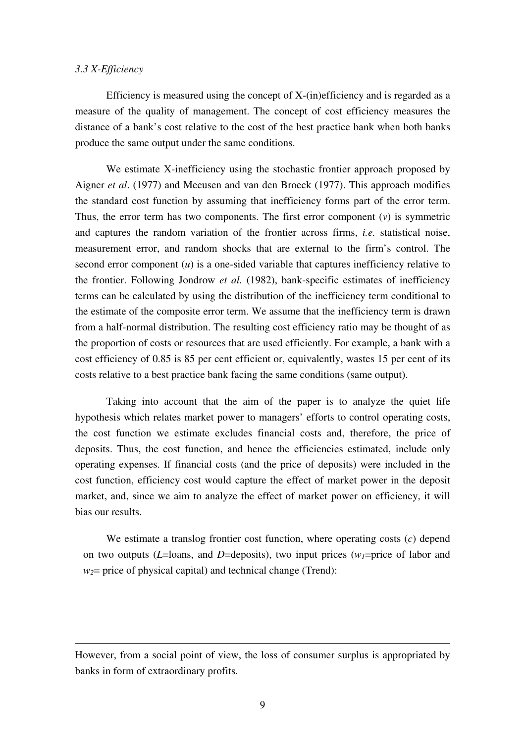#### *3.3 X-Efficiency*

-

 Efficiency is measured using the concept of X-(in)efficiency and is regarded as a measure of the quality of management. The concept of cost efficiency measures the distance of a bank's cost relative to the cost of the best practice bank when both banks produce the same output under the same conditions.

 We estimate X-inefficiency using the stochastic frontier approach proposed by Aigner *et al*. (1977) and Meeusen and van den Broeck (1977). This approach modifies the standard cost function by assuming that inefficiency forms part of the error term. Thus, the error term has two components. The first error component (*v*) is symmetric and captures the random variation of the frontier across firms, *i.e.* statistical noise, measurement error, and random shocks that are external to the firm's control. The second error component (*u*) is a one-sided variable that captures inefficiency relative to the frontier. Following Jondrow *et al.* (1982), bank-specific estimates of inefficiency terms can be calculated by using the distribution of the inefficiency term conditional to the estimate of the composite error term. We assume that the inefficiency term is drawn from a half-normal distribution. The resulting cost efficiency ratio may be thought of as the proportion of costs or resources that are used efficiently. For example, a bank with a cost efficiency of 0.85 is 85 per cent efficient or, equivalently, wastes 15 per cent of its costs relative to a best practice bank facing the same conditions (same output).

 Taking into account that the aim of the paper is to analyze the quiet life hypothesis which relates market power to managers' efforts to control operating costs, the cost function we estimate excludes financial costs and, therefore, the price of deposits. Thus, the cost function, and hence the efficiencies estimated, include only operating expenses. If financial costs (and the price of deposits) were included in the cost function, efficiency cost would capture the effect of market power in the deposit market, and, since we aim to analyze the effect of market power on efficiency, it will bias our results.

We estimate a translog frontier cost function, where operating costs (*c*) depend on two outputs ( $L$ =loans, and  $D$ =deposits), two input prices ( $w_l$ =price of labor and  $w_2$ = price of physical capital) and technical change (Trend):

However, from a social point of view, the loss of consumer surplus is appropriated by banks in form of extraordinary profits.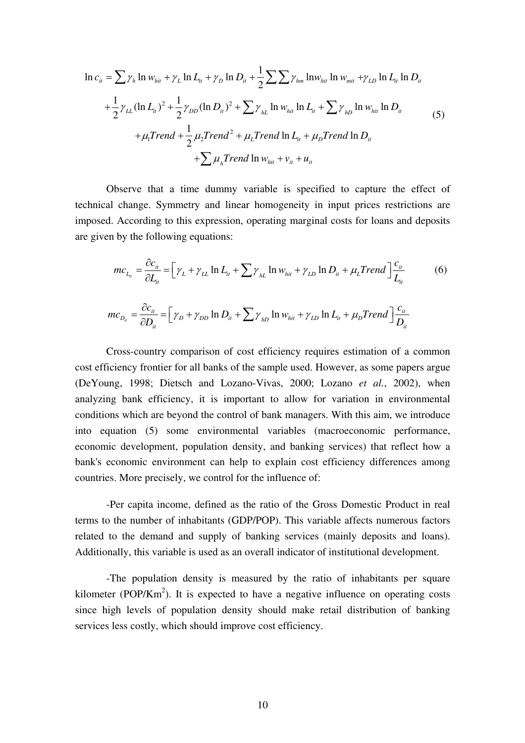$$
\ln c_{ii} = \sum \gamma_h \ln w_{hi} + \gamma_L \ln L_{ii} + \gamma_D \ln D_{ii} + \frac{1}{2} \sum \sum \gamma_{hm} \ln w_{hi} \ln w_{mit} + \gamma_{LD} \ln L_{ii} \ln D_{ii}
$$
  
+  $\frac{1}{2} \gamma_{LL} (\ln L_{ii})^2 + \frac{1}{2} \gamma_{DD} (\ln D_{ii})^2 + \sum \gamma_{hL} \ln w_{hi} \ln L_{ii} + \sum \gamma_{hD} \ln w_{hi} \ln D_{ii}$   
+  $\mu_1$ Trend +  $\frac{1}{2} \mu_2$ Trend<sup>2</sup> +  $\mu_1$ Trend ln  $L_{ii}$  +  $\mu_D$ Trend ln  $D_{ii}$   
+  $\sum \mu_h$ Trend ln  $w_{hii} + v_{ii} + u_{ii}$  (5)

Observe that a time dummy variable is specified to capture the effect of technical change. Symmetry and linear homogeneity in input prices restrictions are imposed. According to this expression, operating marginal costs for loans and deposits are given by the following equations:

$$
mc_{L_{it}} = \frac{\partial c_{it}}{\partial L_{it}} = \left[ \gamma_L + \gamma_{LL} \ln L_{it} + \sum \gamma_{hL} \ln w_{hit} + \gamma_{LD} \ln D_{it} + \mu_L Trend \right] \frac{c_{it}}{L_{it}}
$$
  

$$
mc_{D_{it}} = \frac{\partial c_{it}}{\partial D_{it}} = \left[ \gamma_D + \gamma_{DD} \ln D_{it} + \sum \gamma_{hD} \ln w_{hit} + \gamma_{LD} \ln L_{it} + \mu_D Trend \right] \frac{c_{it}}{D_{it}}
$$
 (6)

 Cross-country comparison of cost efficiency requires estimation of a common cost efficiency frontier for all banks of the sample used. However, as some papers argue (DeYoung, 1998; Dietsch and Lozano-Vivas, 2000; Lozano *et al.*, 2002), when analyzing bank efficiency, it is important to allow for variation in environmental conditions which are beyond the control of bank managers. With this aim, we introduce into equation (5) some environmental variables (macroeconomic performance, economic development, population density, and banking services) that reflect how a bank's economic environment can help to explain cost efficiency differences among countries. More precisely, we control for the influence of:

 -Per capita income, defined as the ratio of the Gross Domestic Product in real terms to the number of inhabitants (GDP/POP). This variable affects numerous factors related to the demand and supply of banking services (mainly deposits and loans). Additionally, this variable is used as an overall indicator of institutional development.

 -The population density is measured by the ratio of inhabitants per square kilometer (POP/ $Km<sup>2</sup>$ ). It is expected to have a negative influence on operating costs since high levels of population density should make retail distribution of banking services less costly, which should improve cost efficiency.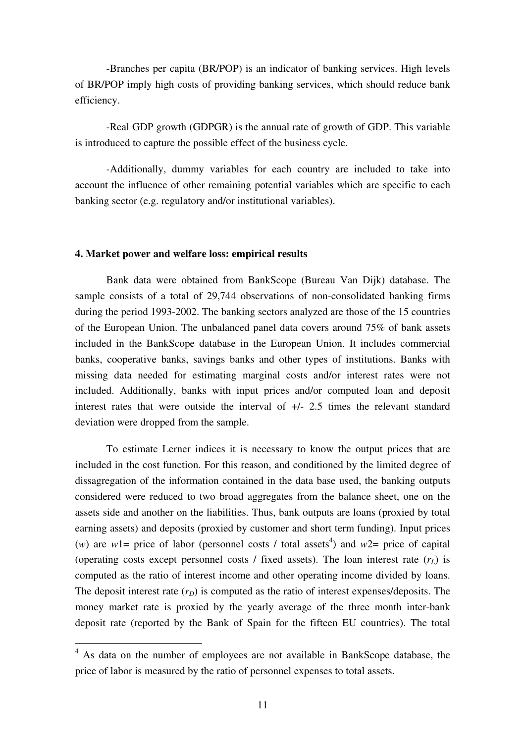-Branches per capita (BR/POP) is an indicator of banking services. High levels of BR/POP imply high costs of providing banking services, which should reduce bank efficiency.

 -Real GDP growth (GDPGR) is the annual rate of growth of GDP. This variable is introduced to capture the possible effect of the business cycle.

 -Additionally, dummy variables for each country are included to take into account the influence of other remaining potential variables which are specific to each banking sector (e.g. regulatory and/or institutional variables).

#### **4. Market power and welfare loss: empirical results**

Bank data were obtained from BankScope (Bureau Van Dijk) database. The sample consists of a total of 29,744 observations of non-consolidated banking firms during the period 1993-2002. The banking sectors analyzed are those of the 15 countries of the European Union. The unbalanced panel data covers around 75% of bank assets included in the BankScope database in the European Union. It includes commercial banks, cooperative banks, savings banks and other types of institutions. Banks with missing data needed for estimating marginal costs and/or interest rates were not included. Additionally, banks with input prices and/or computed loan and deposit interest rates that were outside the interval of +/- 2.5 times the relevant standard deviation were dropped from the sample.

 To estimate Lerner indices it is necessary to know the output prices that are included in the cost function. For this reason, and conditioned by the limited degree of dissagregation of the information contained in the data base used, the banking outputs considered were reduced to two broad aggregates from the balance sheet, one on the assets side and another on the liabilities. Thus, bank outputs are loans (proxied by total earning assets) and deposits (proxied by customer and short term funding). Input prices (*w*) are *w*1= price of labor (personnel costs / total assets<sup>4</sup>) and *w*2= price of capital (operating costs except personnel costs / fixed assets). The loan interest rate  $(r_L)$  is computed as the ratio of interest income and other operating income divided by loans. The deposit interest rate  $(r_D)$  is computed as the ratio of interest expenses/deposits. The money market rate is proxied by the yearly average of the three month inter-bank deposit rate (reported by the Bank of Spain for the fifteen EU countries). The total

 $\overline{a}$ 

<sup>&</sup>lt;sup>4</sup> As data on the number of employees are not available in BankScope database, the price of labor is measured by the ratio of personnel expenses to total assets.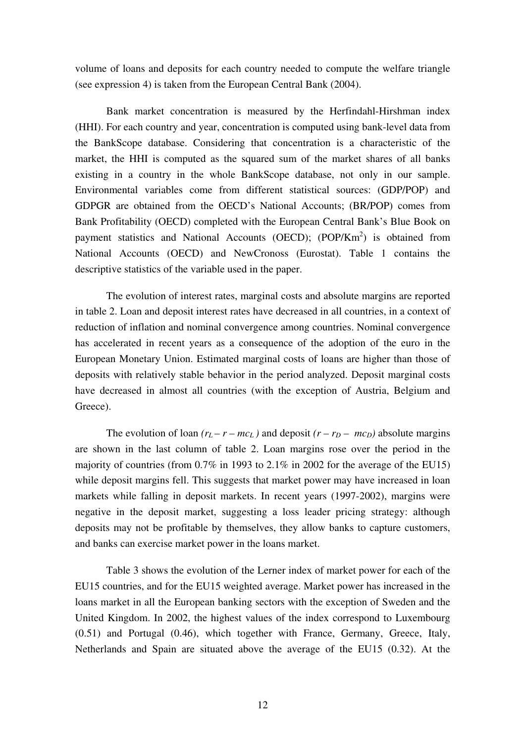volume of loans and deposits for each country needed to compute the welfare triangle (see expression 4) is taken from the European Central Bank (2004).

 Bank market concentration is measured by the Herfindahl-Hirshman index (HHI). For each country and year, concentration is computed using bank-level data from the BankScope database. Considering that concentration is a characteristic of the market, the HHI is computed as the squared sum of the market shares of all banks existing in a country in the whole BankScope database, not only in our sample. Environmental variables come from different statistical sources: (GDP/POP) and GDPGR are obtained from the OECD's National Accounts; (BR/POP) comes from Bank Profitability (OECD) completed with the European Central Bank's Blue Book on payment statistics and National Accounts (OECD);  $(POP/Km<sup>2</sup>)$  is obtained from National Accounts (OECD) and NewCronoss (Eurostat). Table 1 contains the descriptive statistics of the variable used in the paper.

The evolution of interest rates, marginal costs and absolute margins are reported in table 2. Loan and deposit interest rates have decreased in all countries, in a context of reduction of inflation and nominal convergence among countries. Nominal convergence has accelerated in recent years as a consequence of the adoption of the euro in the European Monetary Union. Estimated marginal costs of loans are higher than those of deposits with relatively stable behavior in the period analyzed. Deposit marginal costs have decreased in almost all countries (with the exception of Austria, Belgium and Greece).

The evolution of loan  $(r_L - r - mc_L)$  and deposit  $(r - r_D - mc_D)$  absolute margins are shown in the last column of table 2. Loan margins rose over the period in the majority of countries (from 0.7% in 1993 to 2.1% in 2002 for the average of the EU15) while deposit margins fell. This suggests that market power may have increased in loan markets while falling in deposit markets. In recent years (1997-2002), margins were negative in the deposit market, suggesting a loss leader pricing strategy: although deposits may not be profitable by themselves, they allow banks to capture customers, and banks can exercise market power in the loans market.

 Table 3 shows the evolution of the Lerner index of market power for each of the EU15 countries, and for the EU15 weighted average. Market power has increased in the loans market in all the European banking sectors with the exception of Sweden and the United Kingdom. In 2002, the highest values of the index correspond to Luxembourg (0.51) and Portugal (0.46), which together with France, Germany, Greece, Italy, Netherlands and Spain are situated above the average of the EU15 (0.32). At the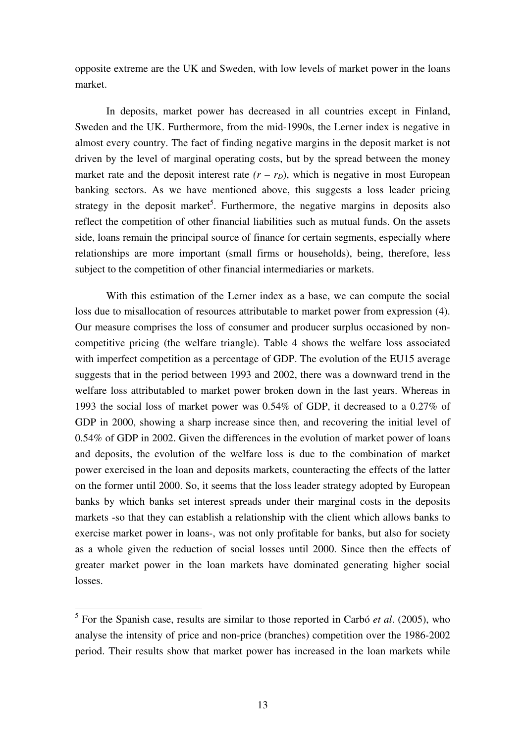opposite extreme are the UK and Sweden, with low levels of market power in the loans market.

In deposits, market power has decreased in all countries except in Finland, Sweden and the UK. Furthermore, from the mid-1990s, the Lerner index is negative in almost every country. The fact of finding negative margins in the deposit market is not driven by the level of marginal operating costs, but by the spread between the money market rate and the deposit interest rate  $(r - r_D)$ , which is negative in most European banking sectors. As we have mentioned above, this suggests a loss leader pricing strategy in the deposit market<sup>5</sup>. Furthermore, the negative margins in deposits also reflect the competition of other financial liabilities such as mutual funds. On the assets side, loans remain the principal source of finance for certain segments, especially where relationships are more important (small firms or households), being, therefore, less subject to the competition of other financial intermediaries or markets.

With this estimation of the Lerner index as a base, we can compute the social loss due to misallocation of resources attributable to market power from expression (4). Our measure comprises the loss of consumer and producer surplus occasioned by noncompetitive pricing (the welfare triangle). Table 4 shows the welfare loss associated with imperfect competition as a percentage of GDP. The evolution of the EU15 average suggests that in the period between 1993 and 2002, there was a downward trend in the welfare loss attributabled to market power broken down in the last years. Whereas in 1993 the social loss of market power was 0.54% of GDP, it decreased to a 0.27% of GDP in 2000, showing a sharp increase since then, and recovering the initial level of 0.54% of GDP in 2002. Given the differences in the evolution of market power of loans and deposits, the evolution of the welfare loss is due to the combination of market power exercised in the loan and deposits markets, counteracting the effects of the latter on the former until 2000. So, it seems that the loss leader strategy adopted by European banks by which banks set interest spreads under their marginal costs in the deposits markets -so that they can establish a relationship with the client which allows banks to exercise market power in loans-, was not only profitable for banks, but also for society as a whole given the reduction of social losses until 2000. Since then the effects of greater market power in the loan markets have dominated generating higher social losses.

 5 For the Spanish case, results are similar to those reported in Carbó *et al*. (2005), who analyse the intensity of price and non-price (branches) competition over the 1986-2002 period. Their results show that market power has increased in the loan markets while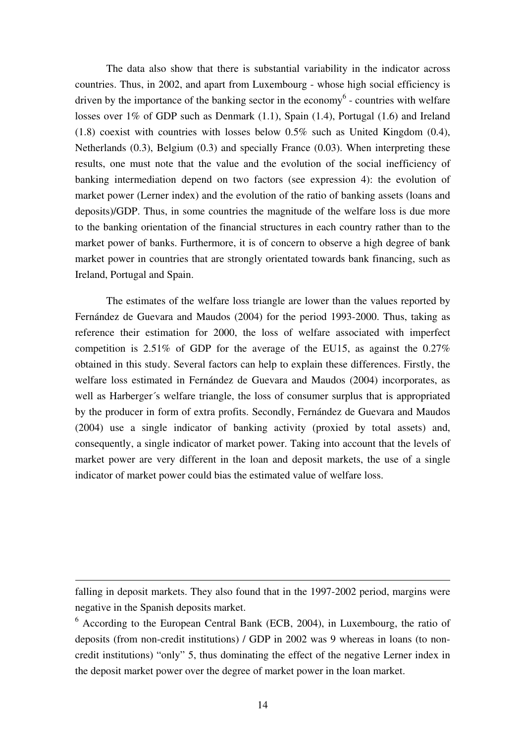The data also show that there is substantial variability in the indicator across countries. Thus, in 2002, and apart from Luxembourg - whose high social efficiency is driven by the importance of the banking sector in the economy<sup>6</sup> - countries with welfare losses over 1% of GDP such as Denmark (1.1), Spain (1.4), Portugal (1.6) and Ireland  $(1.8)$  coexist with countries with losses below  $0.5\%$  such as United Kingdom  $(0.4)$ , Netherlands (0.3), Belgium (0.3) and specially France (0.03). When interpreting these results, one must note that the value and the evolution of the social inefficiency of banking intermediation depend on two factors (see expression 4): the evolution of market power (Lerner index) and the evolution of the ratio of banking assets (loans and deposits)/GDP. Thus, in some countries the magnitude of the welfare loss is due more to the banking orientation of the financial structures in each country rather than to the market power of banks. Furthermore, it is of concern to observe a high degree of bank market power in countries that are strongly orientated towards bank financing, such as Ireland, Portugal and Spain.

The estimates of the welfare loss triangle are lower than the values reported by Fernández de Guevara and Maudos (2004) for the period 1993-2000. Thus, taking as reference their estimation for 2000, the loss of welfare associated with imperfect competition is 2.51% of GDP for the average of the EU15, as against the 0.27% obtained in this study. Several factors can help to explain these differences. Firstly, the welfare loss estimated in Fernández de Guevara and Maudos (2004) incorporates, as well as Harberger´s welfare triangle, the loss of consumer surplus that is appropriated by the producer in form of extra profits. Secondly, Fernández de Guevara and Maudos (2004) use a single indicator of banking activity (proxied by total assets) and, consequently, a single indicator of market power. Taking into account that the levels of market power are very different in the loan and deposit markets, the use of a single indicator of market power could bias the estimated value of welfare loss.

<u>.</u>

falling in deposit markets. They also found that in the 1997-2002 period, margins were negative in the Spanish deposits market.

<sup>&</sup>lt;sup>6</sup> According to the European Central Bank (ECB, 2004), in Luxembourg, the ratio of deposits (from non-credit institutions) / GDP in 2002 was 9 whereas in loans (to noncredit institutions) "only" 5, thus dominating the effect of the negative Lerner index in the deposit market power over the degree of market power in the loan market.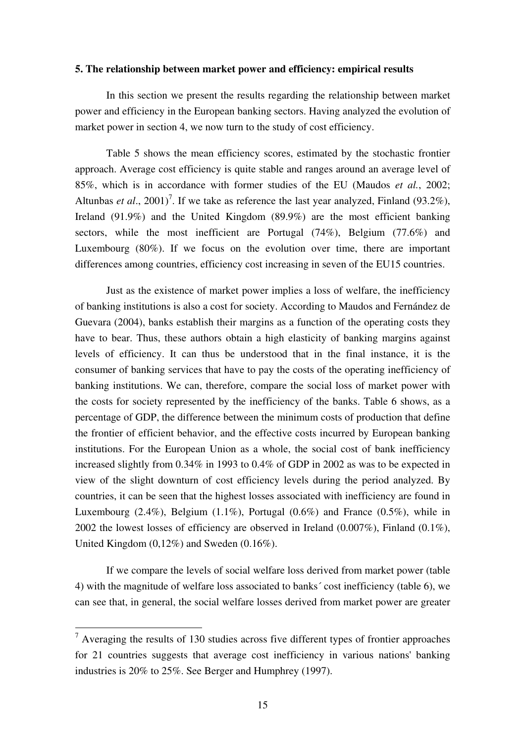### **5. The relationship between market power and efficiency: empirical results**

 In this section we present the results regarding the relationship between market power and efficiency in the European banking sectors. Having analyzed the evolution of market power in section 4, we now turn to the study of cost efficiency.

 Table 5 shows the mean efficiency scores, estimated by the stochastic frontier approach. Average cost efficiency is quite stable and ranges around an average level of 85%, which is in accordance with former studies of the EU (Maudos *et al.*, 2002; Altunbas *et al.*, 2001)<sup>7</sup>. If we take as reference the last year analyzed, Finland (93.2%), Ireland (91.9%) and the United Kingdom (89.9%) are the most efficient banking sectors, while the most inefficient are Portugal (74%), Belgium (77.6%) and Luxembourg (80%). If we focus on the evolution over time, there are important differences among countries, efficiency cost increasing in seven of the EU15 countries.

 Just as the existence of market power implies a loss of welfare, the inefficiency of banking institutions is also a cost for society. According to Maudos and Fernández de Guevara (2004), banks establish their margins as a function of the operating costs they have to bear. Thus, these authors obtain a high elasticity of banking margins against levels of efficiency. It can thus be understood that in the final instance, it is the consumer of banking services that have to pay the costs of the operating inefficiency of banking institutions. We can, therefore, compare the social loss of market power with the costs for society represented by the inefficiency of the banks. Table 6 shows, as a percentage of GDP, the difference between the minimum costs of production that define the frontier of efficient behavior, and the effective costs incurred by European banking institutions. For the European Union as a whole, the social cost of bank inefficiency increased slightly from 0.34% in 1993 to 0.4% of GDP in 2002 as was to be expected in view of the slight downturn of cost efficiency levels during the period analyzed. By countries, it can be seen that the highest losses associated with inefficiency are found in Luxembourg  $(2.4\%)$ , Belgium  $(1.1\%)$ , Portugal  $(0.6\%)$  and France  $(0.5\%)$ , while in 2002 the lowest losses of efficiency are observed in Ireland  $(0.007\%)$ , Finland  $(0.1\%)$ , United Kingdom (0,12%) and Sweden (0.16%).

 If we compare the levels of social welfare loss derived from market power (table 4) with the magnitude of welfare loss associated to banks´ cost inefficiency (table 6), we can see that, in general, the social welfare losses derived from market power are greater

<sup>&</sup>lt;sup>7</sup> Averaging the results of 130 studies across five different types of frontier approaches for 21 countries suggests that average cost inefficiency in various nations' banking industries is 20% to 25%. See Berger and Humphrey (1997).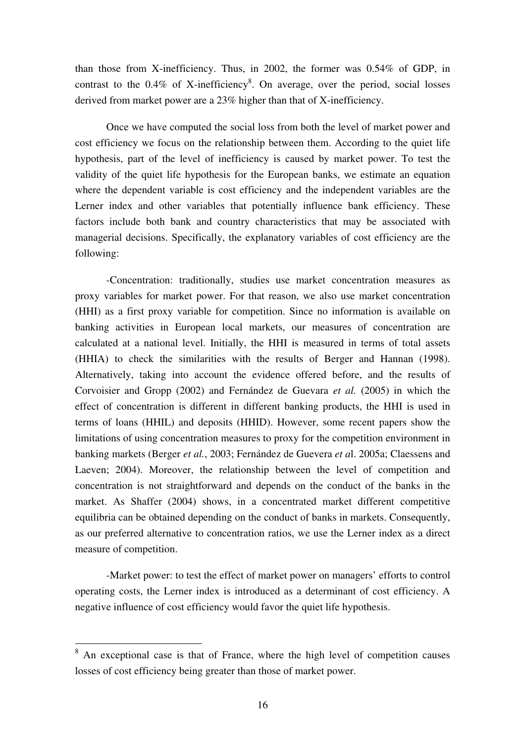than those from X-inefficiency. Thus, in 2002, the former was 0.54% of GDP, in contrast to the  $0.4\%$  of X-inefficiency<sup>8</sup>. On average, over the period, social losses derived from market power are a 23% higher than that of X-inefficiency.

 Once we have computed the social loss from both the level of market power and cost efficiency we focus on the relationship between them. According to the quiet life hypothesis, part of the level of inefficiency is caused by market power. To test the validity of the quiet life hypothesis for the European banks, we estimate an equation where the dependent variable is cost efficiency and the independent variables are the Lerner index and other variables that potentially influence bank efficiency. These factors include both bank and country characteristics that may be associated with managerial decisions. Specifically, the explanatory variables of cost efficiency are the following:

 -Concentration: traditionally, studies use market concentration measures as proxy variables for market power. For that reason, we also use market concentration (HHI) as a first proxy variable for competition. Since no information is available on banking activities in European local markets, our measures of concentration are calculated at a national level. Initially, the HHI is measured in terms of total assets (HHIA) to check the similarities with the results of Berger and Hannan (1998). Alternatively, taking into account the evidence offered before, and the results of Corvoisier and Gropp (2002) and Fernández de Guevara *et al.* (2005) in which the effect of concentration is different in different banking products, the HHI is used in terms of loans (HHIL) and deposits (HHID). However, some recent papers show the limitations of using concentration measures to proxy for the competition environment in banking markets (Berger *et al.*, 2003; Fernández de Guevera *et a*l. 2005a; Claessens and Laeven; 2004). Moreover, the relationship between the level of competition and concentration is not straightforward and depends on the conduct of the banks in the market. As Shaffer (2004) shows, in a concentrated market different competitive equilibria can be obtained depending on the conduct of banks in markets. Consequently, as our preferred alternative to concentration ratios, we use the Lerner index as a direct measure of competition.

-Market power: to test the effect of market power on managers' efforts to control operating costs, the Lerner index is introduced as a determinant of cost efficiency. A negative influence of cost efficiency would favor the quiet life hypothesis.

<sup>&</sup>lt;sup>8</sup> An exceptional case is that of France, where the high level of competition causes losses of cost efficiency being greater than those of market power.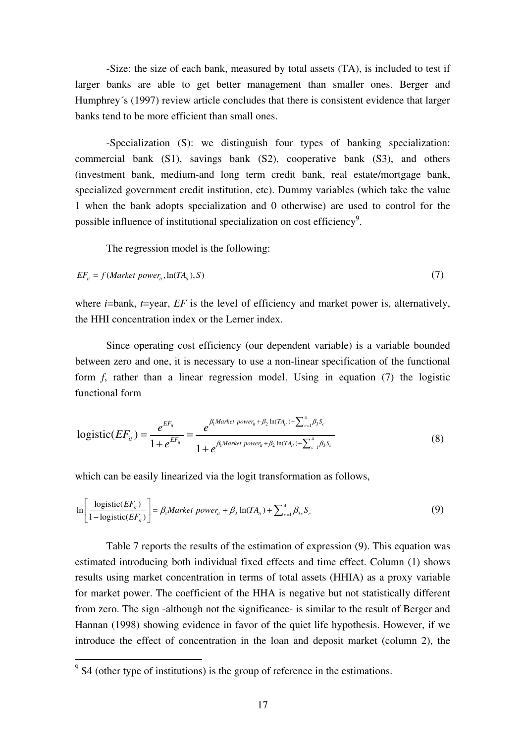-Size: the size of each bank, measured by total assets (TA), is included to test if larger banks are able to get better management than smaller ones. Berger and Humphrey´s (1997) review article concludes that there is consistent evidence that larger banks tend to be more efficient than small ones.

 -Specialization (S): we distinguish four types of banking specialization: commercial bank (S1), savings bank (S2), cooperative bank (S3), and others (investment bank, medium-and long term credit bank, real estate/mortgage bank, specialized government credit institution, etc). Dummy variables (which take the value 1 when the bank adopts specialization and 0 otherwise) are used to control for the possible influence of institutional specialization on cost efficiency<sup>9</sup>.

The regression model is the following:

$$
EF_{it} = f(Marker\ power_{it}, \ln(TA_{it}), S)
$$
 (7)

where *i*=bank, *t*=year, *EF* is the level of efficiency and market power is, alternatively, the HHI concentration index or the Lerner index.

 Since operating cost efficiency (our dependent variable) is a variable bounded between zero and one, it is necessary to use a non-linear specification of the functional form *f*, rather than a linear regression model. Using in equation (7) the logistic functional form

$$
logistic(EF_{it}) = \frac{e^{EF_{it}}}{1 + e^{EF_{it}}} = \frac{e^{\beta_1 Market\ power_{it} + \beta_2 \ln(TA_{it}) + \sum_{c=1}^{4} \beta_3 S_c}}{1 + e^{\beta_1 Market\ power_{it} + \beta_2 \ln(TA_{it}) + \sum_{c=1}^{4} \beta_3 S_c}}
$$
(8)

which can be easily linearized via the logit transformation as follows,

$$
\ln \left[ \frac{\text{logistic}(EF_{ii})}{1-\text{logistic}(EF_{ii})} \right] = \beta_1 Market\ power_{ii} + \beta_2 \ln(TA_{ii}) + \sum_{c=1}^4 \beta_{3c} S_c \tag{9}
$$

 Table 7 reports the results of the estimation of expression (9). This equation was estimated introducing both individual fixed effects and time effect. Column (1) shows results using market concentration in terms of total assets (HHIA) as a proxy variable for market power. The coefficient of the HHA is negative but not statistically different from zero. The sign -although not the significance- is similar to the result of Berger and Hannan (1998) showing evidence in favor of the quiet life hypothesis. However, if we introduce the effect of concentration in the loan and deposit market (column 2), the

<sup>&</sup>lt;sup>9</sup> S4 (other type of institutions) is the group of reference in the estimations.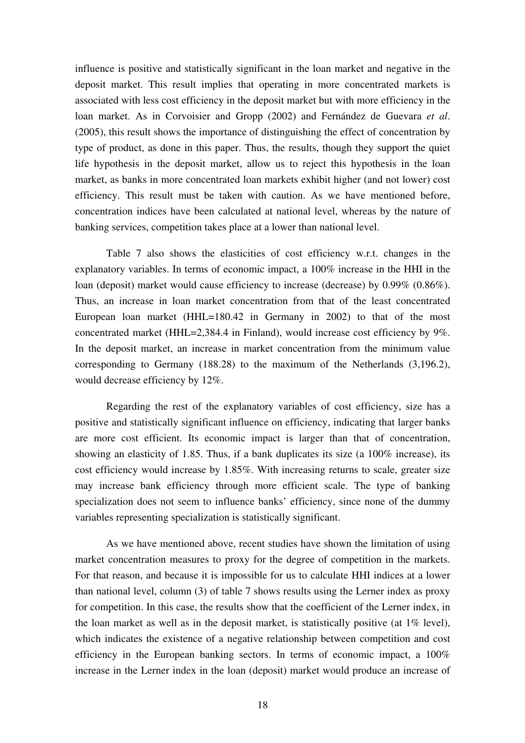influence is positive and statistically significant in the loan market and negative in the deposit market. This result implies that operating in more concentrated markets is associated with less cost efficiency in the deposit market but with more efficiency in the loan market. As in Corvoisier and Gropp (2002) and Fernández de Guevara *et al*. (2005), this result shows the importance of distinguishing the effect of concentration by type of product, as done in this paper. Thus, the results, though they support the quiet life hypothesis in the deposit market, allow us to reject this hypothesis in the loan market, as banks in more concentrated loan markets exhibit higher (and not lower) cost efficiency. This result must be taken with caution. As we have mentioned before, concentration indices have been calculated at national level, whereas by the nature of banking services, competition takes place at a lower than national level.

 Table 7 also shows the elasticities of cost efficiency w.r.t. changes in the explanatory variables. In terms of economic impact, a 100% increase in the HHI in the loan (deposit) market would cause efficiency to increase (decrease) by 0.99% (0.86%). Thus, an increase in loan market concentration from that of the least concentrated European loan market (HHL=180.42 in Germany in 2002) to that of the most concentrated market (HHL=2,384.4 in Finland), would increase cost efficiency by 9%. In the deposit market, an increase in market concentration from the minimum value corresponding to Germany (188.28) to the maximum of the Netherlands (3,196.2), would decrease efficiency by 12%.

 Regarding the rest of the explanatory variables of cost efficiency, size has a positive and statistically significant influence on efficiency, indicating that larger banks are more cost efficient. Its economic impact is larger than that of concentration, showing an elasticity of 1.85. Thus, if a bank duplicates its size (a 100% increase), its cost efficiency would increase by 1.85%. With increasing returns to scale, greater size may increase bank efficiency through more efficient scale. The type of banking specialization does not seem to influence banks' efficiency, since none of the dummy variables representing specialization is statistically significant.

 As we have mentioned above, recent studies have shown the limitation of using market concentration measures to proxy for the degree of competition in the markets. For that reason, and because it is impossible for us to calculate HHI indices at a lower than national level, column (3) of table 7 shows results using the Lerner index as proxy for competition. In this case, the results show that the coefficient of the Lerner index, in the loan market as well as in the deposit market, is statistically positive (at 1% level), which indicates the existence of a negative relationship between competition and cost efficiency in the European banking sectors. In terms of economic impact, a 100% increase in the Lerner index in the loan (deposit) market would produce an increase of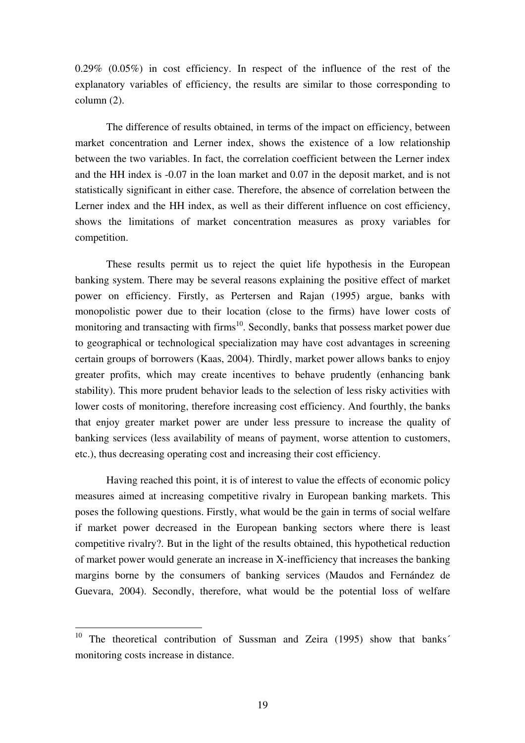0.29% (0.05%) in cost efficiency. In respect of the influence of the rest of the explanatory variables of efficiency, the results are similar to those corresponding to column (2).

 The difference of results obtained, in terms of the impact on efficiency, between market concentration and Lerner index, shows the existence of a low relationship between the two variables. In fact, the correlation coefficient between the Lerner index and the HH index is -0.07 in the loan market and 0.07 in the deposit market, and is not statistically significant in either case. Therefore, the absence of correlation between the Lerner index and the HH index, as well as their different influence on cost efficiency, shows the limitations of market concentration measures as proxy variables for competition.

 These results permit us to reject the quiet life hypothesis in the European banking system. There may be several reasons explaining the positive effect of market power on efficiency. Firstly, as Pertersen and Rajan (1995) argue, banks with monopolistic power due to their location (close to the firms) have lower costs of monitoring and transacting with firms<sup>10</sup>. Secondly, banks that possess market power due to geographical or technological specialization may have cost advantages in screening certain groups of borrowers (Kaas, 2004). Thirdly, market power allows banks to enjoy greater profits, which may create incentives to behave prudently (enhancing bank stability). This more prudent behavior leads to the selection of less risky activities with lower costs of monitoring, therefore increasing cost efficiency. And fourthly, the banks that enjoy greater market power are under less pressure to increase the quality of banking services (less availability of means of payment, worse attention to customers, etc.), thus decreasing operating cost and increasing their cost efficiency.

 Having reached this point, it is of interest to value the effects of economic policy measures aimed at increasing competitive rivalry in European banking markets. This poses the following questions. Firstly, what would be the gain in terms of social welfare if market power decreased in the European banking sectors where there is least competitive rivalry?. But in the light of the results obtained, this hypothetical reduction of market power would generate an increase in X-inefficiency that increases the banking margins borne by the consumers of banking services (Maudos and Fernández de Guevara, 2004). Secondly, therefore, what would be the potential loss of welfare

 $\overline{a}$ 

<sup>&</sup>lt;sup>10</sup> The theoretical contribution of Sussman and Zeira (1995) show that banks<sup> $\checkmark$ </sup> monitoring costs increase in distance.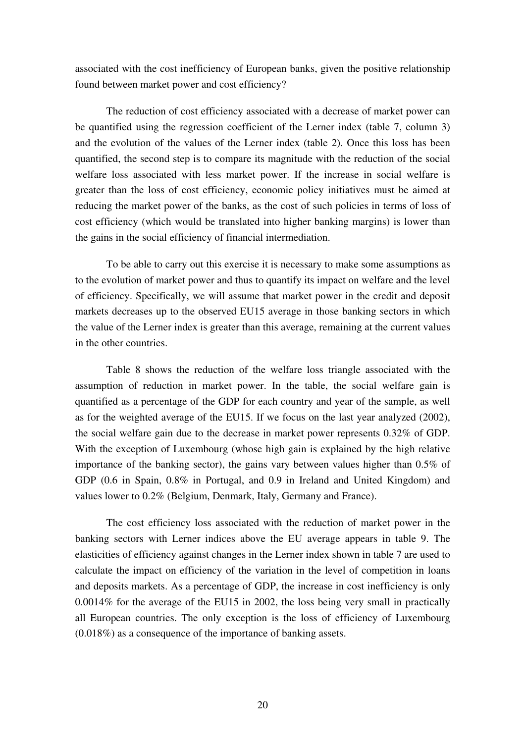associated with the cost inefficiency of European banks, given the positive relationship found between market power and cost efficiency?

 The reduction of cost efficiency associated with a decrease of market power can be quantified using the regression coefficient of the Lerner index (table 7, column 3) and the evolution of the values of the Lerner index (table 2). Once this loss has been quantified, the second step is to compare its magnitude with the reduction of the social welfare loss associated with less market power. If the increase in social welfare is greater than the loss of cost efficiency, economic policy initiatives must be aimed at reducing the market power of the banks, as the cost of such policies in terms of loss of cost efficiency (which would be translated into higher banking margins) is lower than the gains in the social efficiency of financial intermediation.

 To be able to carry out this exercise it is necessary to make some assumptions as to the evolution of market power and thus to quantify its impact on welfare and the level of efficiency. Specifically, we will assume that market power in the credit and deposit markets decreases up to the observed EU15 average in those banking sectors in which the value of the Lerner index is greater than this average, remaining at the current values in the other countries.

 Table 8 shows the reduction of the welfare loss triangle associated with the assumption of reduction in market power. In the table, the social welfare gain is quantified as a percentage of the GDP for each country and year of the sample, as well as for the weighted average of the EU15. If we focus on the last year analyzed (2002), the social welfare gain due to the decrease in market power represents 0.32% of GDP. With the exception of Luxembourg (whose high gain is explained by the high relative importance of the banking sector), the gains vary between values higher than 0.5% of GDP (0.6 in Spain, 0.8% in Portugal, and 0.9 in Ireland and United Kingdom) and values lower to 0.2% (Belgium, Denmark, Italy, Germany and France).

 The cost efficiency loss associated with the reduction of market power in the banking sectors with Lerner indices above the EU average appears in table 9. The elasticities of efficiency against changes in the Lerner index shown in table 7 are used to calculate the impact on efficiency of the variation in the level of competition in loans and deposits markets. As a percentage of GDP, the increase in cost inefficiency is only 0.0014% for the average of the EU15 in 2002, the loss being very small in practically all European countries. The only exception is the loss of efficiency of Luxembourg (0.018%) as a consequence of the importance of banking assets.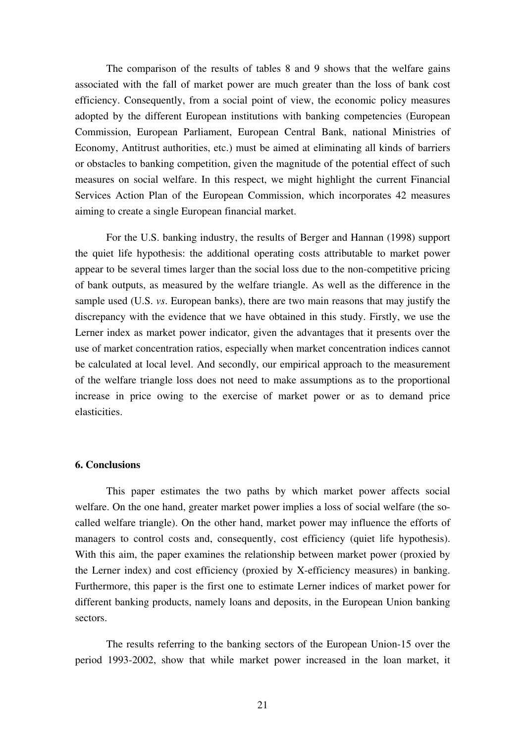The comparison of the results of tables 8 and 9 shows that the welfare gains associated with the fall of market power are much greater than the loss of bank cost efficiency. Consequently, from a social point of view, the economic policy measures adopted by the different European institutions with banking competencies (European Commission, European Parliament, European Central Bank, national Ministries of Economy, Antitrust authorities, etc.) must be aimed at eliminating all kinds of barriers or obstacles to banking competition, given the magnitude of the potential effect of such measures on social welfare. In this respect, we might highlight the current Financial Services Action Plan of the European Commission, which incorporates 42 measures aiming to create a single European financial market.

For the U.S. banking industry, the results of Berger and Hannan (1998) support the quiet life hypothesis: the additional operating costs attributable to market power appear to be several times larger than the social loss due to the non-competitive pricing of bank outputs, as measured by the welfare triangle. As well as the difference in the sample used (U.S. *vs*. European banks), there are two main reasons that may justify the discrepancy with the evidence that we have obtained in this study. Firstly, we use the Lerner index as market power indicator, given the advantages that it presents over the use of market concentration ratios, especially when market concentration indices cannot be calculated at local level. And secondly, our empirical approach to the measurement of the welfare triangle loss does not need to make assumptions as to the proportional increase in price owing to the exercise of market power or as to demand price elasticities.

### **6. Conclusions**

 This paper estimates the two paths by which market power affects social welfare. On the one hand, greater market power implies a loss of social welfare (the socalled welfare triangle). On the other hand, market power may influence the efforts of managers to control costs and, consequently, cost efficiency (quiet life hypothesis). With this aim, the paper examines the relationship between market power (proxied by the Lerner index) and cost efficiency (proxied by X-efficiency measures) in banking. Furthermore, this paper is the first one to estimate Lerner indices of market power for different banking products, namely loans and deposits, in the European Union banking sectors.

 The results referring to the banking sectors of the European Union-15 over the period 1993-2002, show that while market power increased in the loan market, it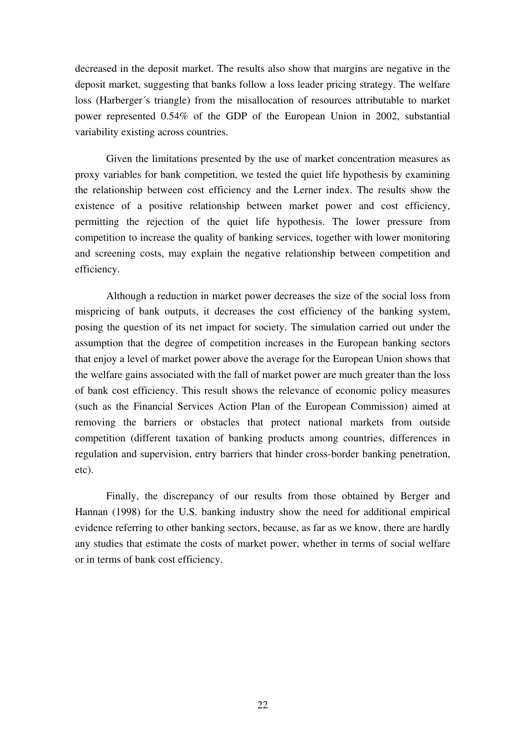decreased in the deposit market. The results also show that margins are negative in the deposit market, suggesting that banks follow a loss leader pricing strategy. The welfare loss (Harberger´s triangle) from the misallocation of resources attributable to market power represented 0.54% of the GDP of the European Union in 2002, substantial variability existing across countries.

Given the limitations presented by the use of market concentration measures as proxy variables for bank competition, we tested the quiet life hypothesis by examining the relationship between cost efficiency and the Lerner index. The results show the existence of a positive relationship between market power and cost efficiency, permitting the rejection of the quiet life hypothesis. The lower pressure from competition to increase the quality of banking services, together with lower monitoring and screening costs, may explain the negative relationship between competition and efficiency.

Although a reduction in market power decreases the size of the social loss from mispricing of bank outputs, it decreases the cost efficiency of the banking system, posing the question of its net impact for society. The simulation carried out under the assumption that the degree of competition increases in the European banking sectors that enjoy a level of market power above the average for the European Union shows that the welfare gains associated with the fall of market power are much greater than the loss of bank cost efficiency. This result shows the relevance of economic policy measures (such as the Financial Services Action Plan of the European Commission) aimed at removing the barriers or obstacles that protect national markets from outside competition (different taxation of banking products among countries, differences in regulation and supervision, entry barriers that hinder cross-border banking penetration, etc).

Finally, the discrepancy of our results from those obtained by Berger and Hannan (1998) for the U.S. banking industry show the need for additional empirical evidence referring to other banking sectors, because, as far as we know, there are hardly any studies that estimate the costs of market power, whether in terms of social welfare or in terms of bank cost efficiency.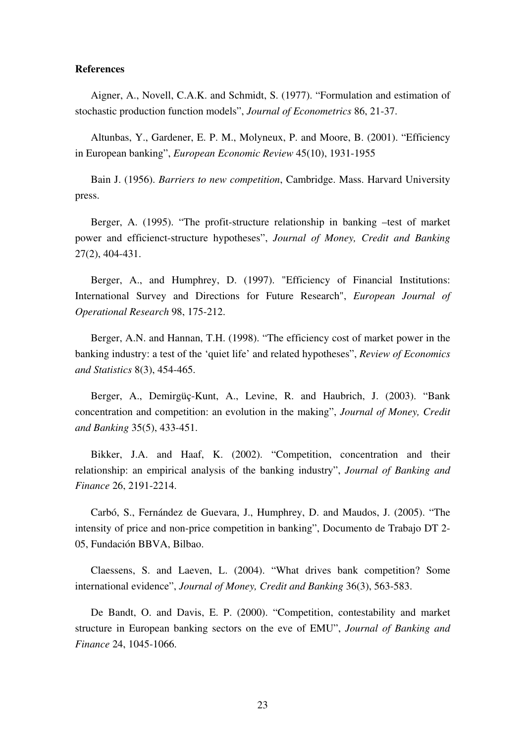#### **References**

Aigner, A., Novell, C.A.K. and Schmidt, S. (1977). "Formulation and estimation of stochastic production function models", *Journal of Econometrics* 86, 21-37.

Altunbas, Y., Gardener, E. P. M., Molyneux, P. and Moore, B. (2001). "Efficiency in European banking", *European Economic Review* 45(10), 1931-1955

Bain J. (1956). *Barriers to new competition*, Cambridge. Mass. Harvard University press.

Berger, A. (1995). "The profit-structure relationship in banking –test of market power and efficienct-structure hypotheses", *Journal of Money, Credit and Banking*  27(2), 404-431.

Berger, A., and Humphrey, D. (1997). "Efficiency of Financial Institutions: International Survey and Directions for Future Research", *European Journal of Operational Research* 98, 175-212.

Berger, A.N. and Hannan, T.H. (1998). "The efficiency cost of market power in the banking industry: a test of the 'quiet life' and related hypotheses", *Review of Economics and Statistics* 8(3), 454-465.

Berger, A., Demirgüç-Kunt, A., Levine, R. and Haubrich, J. (2003). "Bank concentration and competition: an evolution in the making", *Journal of Money, Credit and Banking* 35(5), 433-451.

Bikker, J.A. and Haaf, K. (2002). "Competition, concentration and their relationship: an empirical analysis of the banking industry", *Journal of Banking and Finance* 26, 2191-2214.

Carbó, S., Fernández de Guevara, J., Humphrey, D. and Maudos, J. (2005). "The intensity of price and non-price competition in banking", Documento de Trabajo DT 2- 05, Fundación BBVA, Bilbao.

Claessens, S. and Laeven, L. (2004). "What drives bank competition? Some international evidence", *Journal of Money, Credit and Banking* 36(3), 563-583.

De Bandt, O. and Davis, E. P. (2000). "Competition, contestability and market structure in European banking sectors on the eve of EMU", *Journal of Banking and Finance* 24, 1045-1066.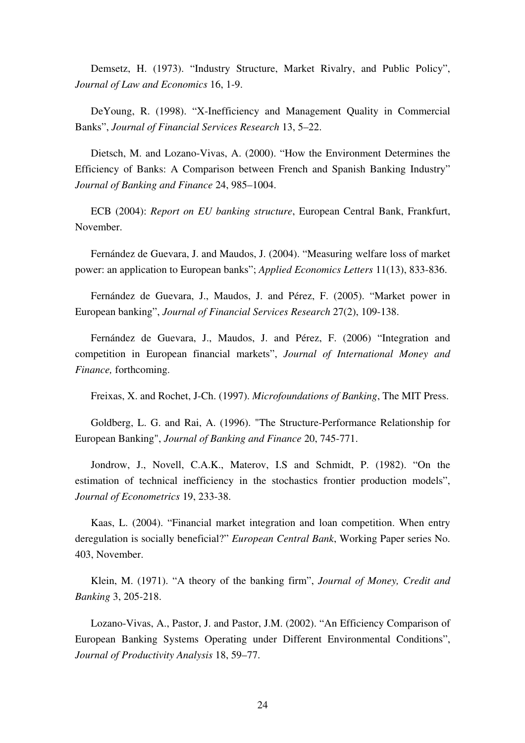Demsetz, H. (1973). "Industry Structure, Market Rivalry, and Public Policy", *Journal of Law and Economics* 16, 1-9.

DeYoung, R. (1998). "X-Inefficiency and Management Quality in Commercial Banks", *Journal of Financial Services Research* 13, 5–22.

Dietsch, M. and Lozano-Vivas, A. (2000). "How the Environment Determines the Efficiency of Banks: A Comparison between French and Spanish Banking Industry" *Journal of Banking and Finance* 24, 985–1004.

ECB (2004): *Report on EU banking structure*, European Central Bank, Frankfurt, November.

Fernández de Guevara, J. and Maudos, J. (2004). "Measuring welfare loss of market power: an application to European banks"; *Applied Economics Letters* 11(13), 833-836.

Fernández de Guevara, J., Maudos, J. and Pérez, F. (2005). "Market power in European banking", *Journal of Financial Services Research* 27(2), 109-138.

Fernández de Guevara, J., Maudos, J. and Pérez, F. (2006) "Integration and competition in European financial markets", *Journal of International Money and Finance,* forthcoming.

Freixas, X. and Rochet, J-Ch. (1997). *Microfoundations of Banking*, The MIT Press.

Goldberg, L. G. and Rai, A. (1996). "The Structure-Performance Relationship for European Banking", *Journal of Banking and Finance* 20, 745-771.

Jondrow, J., Novell, C.A.K., Materov, I.S and Schmidt, P. (1982). "On the estimation of technical inefficiency in the stochastics frontier production models", *Journal of Econometrics* 19, 233-38.

Kaas, L. (2004). "Financial market integration and loan competition. When entry deregulation is socially beneficial?" *European Central Bank*, Working Paper series No. 403, November.

Klein, M. (1971). "A theory of the banking firm", *Journal of Money, Credit and Banking* 3, 205-218.

Lozano-Vivas, A., Pastor, J. and Pastor, J.M. (2002). "An Efficiency Comparison of European Banking Systems Operating under Different Environmental Conditions", *Journal of Productivity Analysis* 18, 59–77.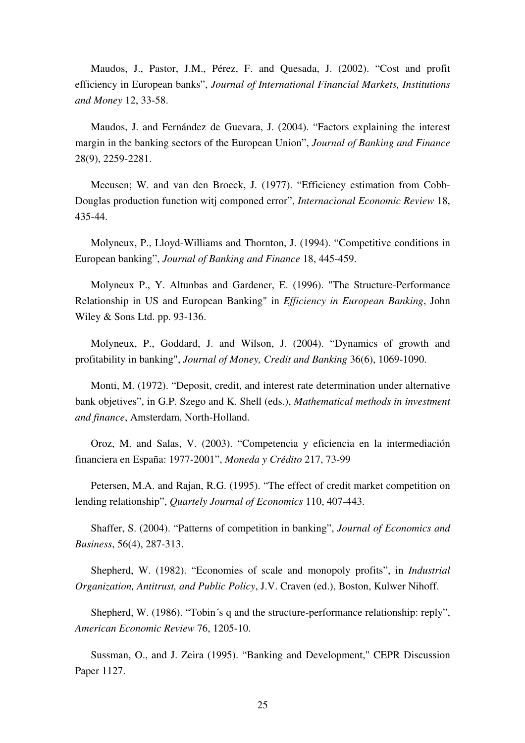Maudos, J., Pastor, J.M., Pérez, F. and Quesada, J. (2002). "Cost and profit efficiency in European banks", *Journal of International Financial Markets, Institutions and Money* 12, 33-58.

Maudos, J. and Fernández de Guevara, J. (2004). "Factors explaining the interest margin in the banking sectors of the European Union", *Journal of Banking and Finance*  28(9), 2259-2281.

Meeusen; W. and van den Broeck, J. (1977). "Efficiency estimation from Cobb-Douglas production function witj componed error", *Internacional Economic Review* 18, 435-44.

Molyneux, P., Lloyd-Williams and Thornton, J. (1994). "Competitive conditions in European banking", *Journal of Banking and Finance* 18, 445-459.

Molyneux P., Y. Altunbas and Gardener, E. (1996). "The Structure-Performance Relationship in US and European Banking" in *Efficiency in European Banking*, John Wiley & Sons Ltd. pp. 93-136.

Molyneux, P., Goddard, J. and Wilson, J. (2004). "Dynamics of growth and profitability in banking", *Journal of Money, Credit and Banking* 36(6), 1069-1090.

Monti, M. (1972). "Deposit, credit, and interest rate determination under alternative bank objetives", in G.P. Szego and K. Shell (eds.), *Mathematical methods in investment and finance*, Amsterdam, North-Holland.

Oroz, M. and Salas, V. (2003). "Competencia y eficiencia en la intermediación financiera en España: 1977-2001", *Moneda y Crédito* 217, 73-99

Petersen, M.A. and Rajan, R.G. (1995). "The effect of credit market competition on lending relationship", *Quartely Journal of Economics* 110, 407-443.

Shaffer, S. (2004). "Patterns of competition in banking", *Journal of Economics and Business*, 56(4), 287-313.

Shepherd, W. (1982). "Economies of scale and monopoly profits", in *Industrial Organization, Antitrust, and Public Policy*, J.V. Craven (ed.), Boston, Kulwer Nihoff.

Shepherd, W. (1986). "Tobin´s q and the structure-performance relationship: reply", *American Economic Review* 76, 1205-10.

Sussman, O., and J. Zeira (1995). "Banking and Development," CEPR Discussion Paper 1127.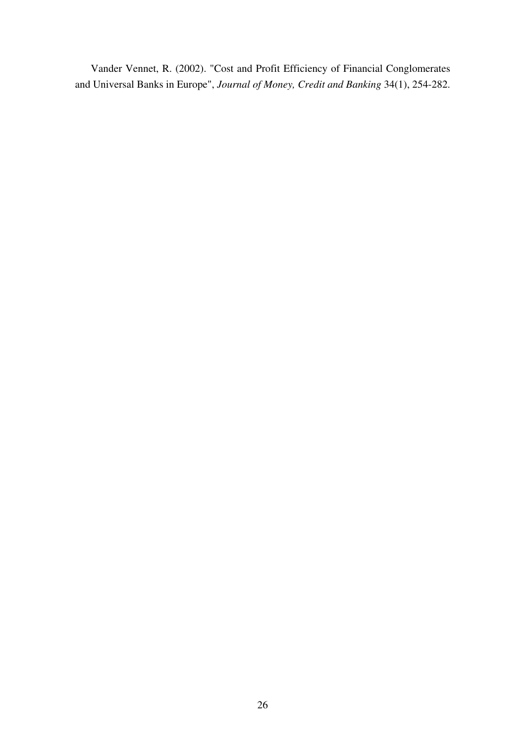Vander Vennet, R. (2002). "Cost and Profit Efficiency of Financial Conglomerates and Universal Banks in Europe", *Journal of Money, Credit and Banking* 34(1), 254-282.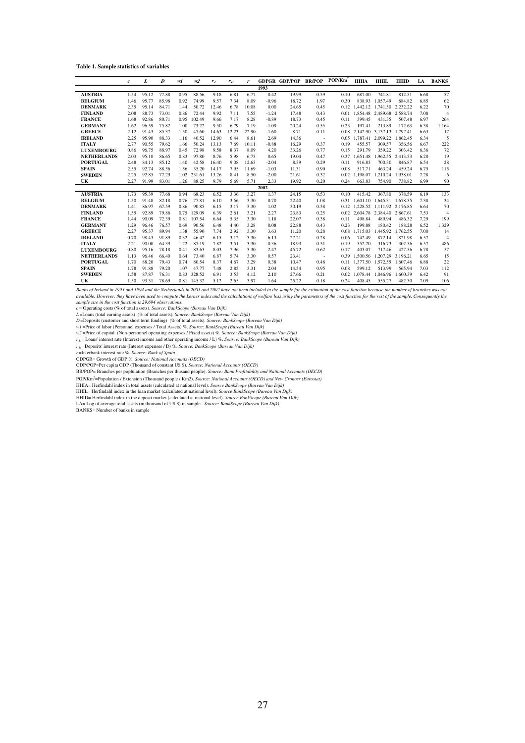**Table 1. Sample statistics of variables**

|                    | $\mathfrak c$ | L     | D     | w1   | W <sub>2</sub> | $r_L$ | $r_{D}$ | $\mathbf{r}$ |         | GDPGR GDP/POP BR/POP |                  | POP/Km <sup>2</sup> | HHIA     | <b>HHIL</b>                     | <b>HHID</b>       | LA   | <b>BANKS</b>   |
|--------------------|---------------|-------|-------|------|----------------|-------|---------|--------------|---------|----------------------|------------------|---------------------|----------|---------------------------------|-------------------|------|----------------|
|                    |               |       |       |      |                |       |         |              | 1993    |                      |                  |                     |          |                                 |                   |      |                |
| <b>AUSTRIA</b>     | 1.54          | 95.12 | 77.88 | 0.95 | 88.56          | 9.18  | 6.81    | 6.77         | 0.42    | 19.99                | 0.59             | 0.10                | 687.00   | 741.81                          | 812.51            | 6.68 | 57             |
| <b>BELGIUM</b>     | 1.46          | 95.77 | 85.98 | 0.92 | 74.99          | 9.57  | 7.34    | 8.09         | $-0.96$ | 18.72                | 1.97             | 0.30                | 838.93   | 1.057.49                        | 884.82            | 6.85 | 62             |
| <b>DENMARK</b>     | 2.35          | 95.14 | 84.71 | 1.44 | 50.72          | 12.46 | 6.78    | 10.08        | 0.00    | 24.65                | 0.45             | 0.12                |          | 1,442.12 1,741.50 2,232.22      |                   | 6.22 | 70             |
| <b>FINLAND</b>     | 2.08          | 88.73 | 73.01 | 0.86 | 72.44          | 9.92  | 7.11    | 7.55         | $-1.24$ | 17.48                | 0.43             | 0.01                |          | 1,854.48 2,489.68 2,588.74      |                   | 7.08 | $\overline{4}$ |
| <b>FRANCE</b>      | 1.68          | 92.86 | 80.71 | 0.95 | 102.49         | 9.66  | 7.17    | 8.28         | $-0.89$ | 18.73                | 0.45             | 0.11                | 399.45   | 431.35                          | 507.48            | 6.97 | 264            |
| <b>GERMANY</b>     | 1.62          | 96.59 | 75.82 | 1.00 | 73.22          | 9.50  | 6.79    | 7.19         | $-1.09$ | 20.24                | 0.55             | 0.23                | 197.41   | 213.89                          | 172.63            | 6.38 | 1,164          |
| <b>GREECE</b>      | 2.12          | 91.43 | 85.37 | 1.50 | 47.60          | 14.63 | 12.23   | 22.90        | $-1.60$ | 8.71                 | 0.11             | 0.08                |          | 2.142.90 3.137.13 1.797.41      |                   | 6.63 | 17             |
| <b>IRELAND</b>     | 2.25          | 95.90 | 88.33 | 1.16 | 40.52          | 12.90 | 6.44    | 8.61         | 2.69    | 14.36                | $\sim$           | 0.05                | 1,787.41 | 2.099.22                        | 1.862.45          | 6.34 | 5              |
| <b>ITALY</b>       | 2.77          | 90.55 | 79.62 | 1.66 | 50.24          | 13.13 | 7.69    | 10.11        | $-0.88$ | 16.29                | 0.37             | 0.19                | 455.57   | 309.57                          | 356.56            | 6.67 | 222            |
| <b>LUXEMBOURG</b>  | 0.86          | 96.75 | 88.97 | 0.45 | 72.98          | 9.58  | 8.37    | 8.09         | 4.20    | 33.26                | 0.77             | 0.15                | 291.79   | 359.22                          | 303.42            | 6.36 | 72             |
| <b>NETHERLANDS</b> | 2.03          | 95.10 | 86.65 | 0.83 | 97.80          | 8.76  | 5.98    | 6.73         | 0.65    | 19.04                | 0.47             | 0.37                | 1.651.48 |                                 | 1.962.55 2.413.53 | 6.20 | 19             |
| <b>PORTUGAL</b>    | 2.48          | 84.13 | 85.12 | 1.40 | 42.58          | 16.40 | 9.08    | 12.63        | $-2.04$ | 8.39                 | 0.29             | 0.11                | 916.83   | 700.30                          | 846.87            | 6.54 | 28             |
| <b>SPAIN</b>       | 2.55          | 92.74 | 88.56 | 1.56 | 35.20          | 14.17 | 7.95    | 11.69        | $-1.03$ | 11.31                | 0.90             | 0.08                | 517.71   | 463.24                          | 459.24            | 6.75 | 115            |
| <b>SWEDEN</b>      | 2.25          | 92.85 | 77.29 | 1.02 | 231.61         | 13.26 | 8.41    | 8.50         | $-2.00$ | 21.61                | 0.32             | 0.02                | 1.198.07 | 1.210.24                        | 1.938.01          | 7.28 | 6              |
| UK                 | 2.27          | 91.99 | 83.01 | 1.26 | 88.25          | 9.79  | 5.69    | 5.71         | 2.33    | 19.92                | 0.20             | 0.24                | 663.83   | 754.90                          | 738.82            | 6.99 | 90             |
|                    |               |       |       |      |                |       |         |              | 2002    |                      |                  |                     |          |                                 |                   |      |                |
| <b>AUSTRIA</b>     | 1.73          | 95.39 | 77.68 | 0.94 | 68.23          | 6.52  | 3.36    | 3.27         | 1.37    | 24.15                | 0.53             | 0.10                | 415.42   | 367.80                          | 378.59            | 6.19 | 133            |
| <b>BELGIUM</b>     | 1.50          | 91.48 | 82.18 | 0.76 | 77.81          | 6.10  | 3.56    | 3.30         | 0.70    | 22.40                | 1.08             | 0.31                | 1.601.10 | 1.645.31                        | 1.678.35          | 7.38 | 34             |
| <b>DENMARK</b>     | 1.41          | 86.97 | 67.59 | 0.86 | 90.85          | 6.15  | 3.17    | 3.30         | 1.02    | 30.19                | 0.38             |                     |          | 0.12 1.228.52 1.111.92 2.176.85 |                   | 6.64 | 70             |
| <b>FINLAND</b>     | 1.55          | 92.89 | 79.86 | 0.75 | 129.09         | 6.39  | 2.61    | 3.21         | 2.27    | 23.83                | 0.25             | 0.02                |          | 2.604.78 2.384.40 2.867.61      |                   | 7.53 | $\overline{4}$ |
| <b>FRANCE</b>      | 1.44          | 90.09 | 72.39 | 0.81 | 107.54         | 6.64  | 5.35    | 3.30         | 1.18    | 22.07                | 0.38             | 0.11                | 498.84   | 489.94                          | 486.32            | 7.29 | 199            |
| <b>GERMANY</b>     | 1.29          | 96.46 | 76.57 | 0.69 | 90.56          | 6.48  | 4.40    | 3.28         | 0.08    | 22.88                | 0.43             | 0.23                | 199.88   | 180.42                          | 188.28            | 6.52 | 1,329          |
| <b>GREECE</b>      | 2.27          | 95.37 | 89.94 | 1.38 | 55.90          | 7.74  | 2.92    | 3.30         | 3.63    | 11.20                | 0.28             | 0.08                | 1.715.03 | 1.445.92                        | 1.762.55          | 7.00 | 14             |
| <b>IRELAND</b>     | 0.70          | 98.43 | 91.89 | 0.32 | 46.42          | 6.15  | 3.12    | 3.30         | 6.13    | 27.21                | 0.28             | 0.06                | 742.49   | 872.14                          | 821.98            | 6.57 | $\overline{4}$ |
| <b>ITALY</b>       | 2.21          | 90.00 | 64.39 | 1.22 | 87.19          | 7.82  | 3.51    | 3.30         | 0.36    | 18.93                | 0.51             | 0.19                | 352.20   | 316.73                          | 302.56            | 6.57 | 486            |
| <b>LUXEMBOURG</b>  | 0.80          | 95.16 | 78.18 | 0.41 | 83.63          | 8.03  | 7.96    | 3.30         | 2.47    | 45.72                | 0.62             | 0.17                | 403.07   | 717.46                          | 427.56            | 6.78 | 57             |
| <b>NETHERLANDS</b> | 1.13          | 96.46 | 66.40 | 0.64 | 73.40          | 6.87  | 5.74    | 3.30         | 0.57    | 23.41                | $\sim$ 100 $\pm$ | 0.39                | 1,500.56 | 1.207.29 3.196.21               |                   | 6.65 | 15             |
| <b>PORTUGAL</b>    | 1.70          | 88.20 | 79.43 | 0.74 | 80.54          | 8.37  | 4.67    | 3.29         | 0.38    | 10.47                | 0.48             | 0.11                | 1.377.50 | 1.572.55 1.607.46               |                   | 6.88 | 22             |
| <b>SPAIN</b>       | 1.78          | 91.88 | 79.20 | 1.07 | 47.77          | 7.48  | 2.85    | 3.31         | 2.04    | 14.54                | 0.95             | 0.08                | 599.12   | 513.99                          | 565.94            | 7.03 | 112            |
| <b>SWEDEN</b>      | 1.58          | 87.87 | 76.31 | 0.83 | 328.52         | 6.91  | 3.53    | 4.12         | 2.10    | 27.66                | 0.21             | 0.02                | 1.078.44 | 1.046.96                        | 1,600.39          | 6.42 | 91             |
| UK                 | 1.50          | 93.31 | 78.69 |      | 0.81 145.32    | 5.12  | 2.65    | 3.97         | 1.64    | 25.22                | 0.18             | 0.24                | 408.45   | 555.27                          | 482.30            | 7.09 | 106            |

Banks of Ireland in 1993 and 1994 and the Netherlands in 2001 and 2002 have not been included in the sample for the estimation of the cost function because the number of branches was not<br>available. However, they have been

c = Operating costs (% of total assets). *Source: BankScope (Bureau Van Dijk)*<br>L=Loans (total carning assets) (% of total assets). *Source: BankScope (Bureau Van Dijk)*<br>D=Doposits (customer and short term funding) (% of to

*r <sup>D</sup>* =Deposits' interest rate (Interest expenses / D) %. *Source: BankScope (Bureau Van Dijk)*

*r* =Interbank interest rate %. *Source: Bank of Spain* GDPGR= Growth of GDP %. *Source: National Accounts (OECD)*

GDP/POP=Per capita GDP (Thousand of constant US \$). *Source: National Accounts (OECD)* BR/POP= Branches per poplulation (Branches per thusand people). *Source: Bank Profitability and National Accounts (OECD)*

POP/Km<sup>2</sup>=Population / Extension (Thousand people / Km2). *Source: National Accounts (OECD) and New Cronoss (Eurostat)* 

HHIA= Herfindahl index in total assets (calculated at national level). *Source BankScope (Bureau Van Dijk)*<br>HHIL= Herfindahl index in the loan market (calculated at national level). *Source BankScope (Bureau Van Dijk)* 

HHID= Herfindahl index in the deposit market (calculated at national level). *Source BankScope (Bureau Van Dijk)*<br>LA= Log of average total assets (in thousand of US \$) in sample. *Source: BankScope (Bureau Van Dijk)*<br>BANK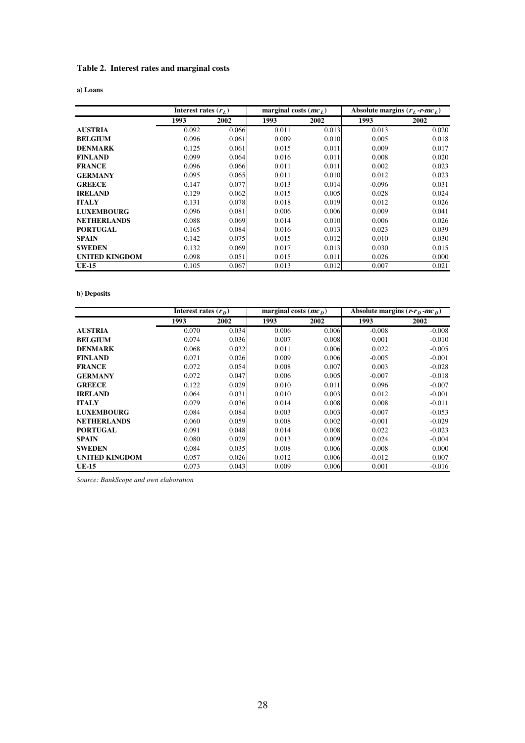## **Table 2. Interest rates and marginal costs**

#### **a) Loans**

|                       | Interest rates $(r_L)$ |       | marginal costs ( <i>mc</i> <sub>L</sub> ) |       | Absolute margins $(r_L - r \cdot mc_L)$ |       |
|-----------------------|------------------------|-------|-------------------------------------------|-------|-----------------------------------------|-------|
|                       | 1993                   | 2002  | 1993                                      | 2002  | 1993                                    | 2002  |
| <b>AUSTRIA</b>        | 0.092                  | 0.066 | 0.011                                     | 0.013 | 0.013                                   | 0.020 |
| <b>BELGIUM</b>        | 0.096                  | 0.061 | 0.009                                     | 0.010 | 0.005                                   | 0.018 |
| <b>DENMARK</b>        | 0.125                  | 0.061 | 0.015                                     | 0.011 | 0.009                                   | 0.017 |
| <b>FINLAND</b>        | 0.099                  | 0.064 | 0.016                                     | 0.011 | 0.008                                   | 0.020 |
| <b>FRANCE</b>         | 0.096                  | 0.066 | 0.011                                     | 0.011 | 0.002                                   | 0.023 |
| <b>GERMANY</b>        | 0.095                  | 0.065 | 0.011                                     | 0.010 | 0.012                                   | 0.023 |
| <b>GREECE</b>         | 0.147                  | 0.077 | 0.013                                     | 0.014 | $-0.096$                                | 0.031 |
| <b>IRELAND</b>        | 0.129                  | 0.062 | 0.015                                     | 0.005 | 0.028                                   | 0.024 |
| <b>ITALY</b>          | 0.131                  | 0.078 | 0.018                                     | 0.019 | 0.012                                   | 0.026 |
| <b>LUXEMBOURG</b>     | 0.096                  | 0.081 | 0.006                                     | 0.006 | 0.009                                   | 0.041 |
| <b>NETHERLANDS</b>    | 0.088                  | 0.069 | 0.014                                     | 0.010 | 0.006                                   | 0.026 |
| <b>PORTUGAL</b>       | 0.165                  | 0.084 | 0.016                                     | 0.013 | 0.023                                   | 0.039 |
| <b>SPAIN</b>          | 0.142                  | 0.075 | 0.015                                     | 0.012 | 0.010                                   | 0.030 |
| <b>SWEDEN</b>         | 0.132                  | 0.069 | 0.017                                     | 0.013 | 0.030                                   | 0.015 |
| <b>UNITED KINGDOM</b> | 0.098                  | 0.051 | 0.015                                     | 0.011 | 0.026                                   | 0.000 |
| <b>UE-15</b>          | 0.105                  | 0.067 | 0.013                                     | 0.012 | 0.007                                   | 0.021 |

#### **b) Deposits**

|                       | Interest rates $(r_n)$ |       | marginal costs ( <i>mc</i> <sub>n</sub> ) |       | Absolute margins $(\overline{r-r_p}$ -mc <sub>p</sub> ) |          |  |
|-----------------------|------------------------|-------|-------------------------------------------|-------|---------------------------------------------------------|----------|--|
|                       | 1993                   | 2002  | 1993                                      | 2002  | 1993                                                    | 2002     |  |
| <b>AUSTRIA</b>        | 0.070                  | 0.034 | 0.006                                     | 0.006 | $-0.008$                                                | $-0.008$ |  |
| <b>BELGIUM</b>        | 0.074                  | 0.036 | 0.007                                     | 0.008 | 0.001                                                   | $-0.010$ |  |
| <b>DENMARK</b>        | 0.068                  | 0.032 | 0.011                                     | 0.006 | 0.022                                                   | $-0.005$ |  |
| <b>FINLAND</b>        | 0.071                  | 0.026 | 0.009                                     | 0.006 | $-0.005$                                                | $-0.001$ |  |
| <b>FRANCE</b>         | 0.072                  | 0.054 | 0.008                                     | 0.007 | 0.003                                                   | $-0.028$ |  |
| <b>GERMANY</b>        | 0.072                  | 0.047 | 0.006                                     | 0.005 | $-0.007$                                                | $-0.018$ |  |
| <b>GREECE</b>         | 0.122                  | 0.029 | 0.010                                     | 0.011 | 0.096                                                   | $-0.007$ |  |
| <b>IRELAND</b>        | 0.064                  | 0.031 | 0.010                                     | 0.003 | 0.012                                                   | $-0.001$ |  |
| <b>ITALY</b>          | 0.079                  | 0.036 | 0.014                                     | 0.008 | 0.008                                                   | $-0.011$ |  |
| <b>LUXEMBOURG</b>     | 0.084                  | 0.084 | 0.003                                     | 0.003 | $-0.007$                                                | $-0.053$ |  |
| <b>NETHERLANDS</b>    | 0.060                  | 0.059 | 0.008                                     | 0.002 | $-0.001$                                                | $-0.029$ |  |
| <b>PORTUGAL</b>       | 0.091                  | 0.048 | 0.014                                     | 0.008 | 0.022                                                   | $-0.023$ |  |
| <b>SPAIN</b>          | 0.080                  | 0.029 | 0.013                                     | 0.009 | 0.024                                                   | $-0.004$ |  |
| <b>SWEDEN</b>         | 0.084                  | 0.035 | 0.008                                     | 0.006 | $-0.008$                                                | 0.000    |  |
| <b>UNITED KINGDOM</b> | 0.057                  | 0.026 | 0.012                                     | 0.006 | $-0.012$                                                | 0.007    |  |
| <b>UE-15</b>          | 0.073                  | 0.043 | 0.009                                     | 0.006 | 0.001                                                   | $-0.016$ |  |

*Source: BankScope and own elaboration*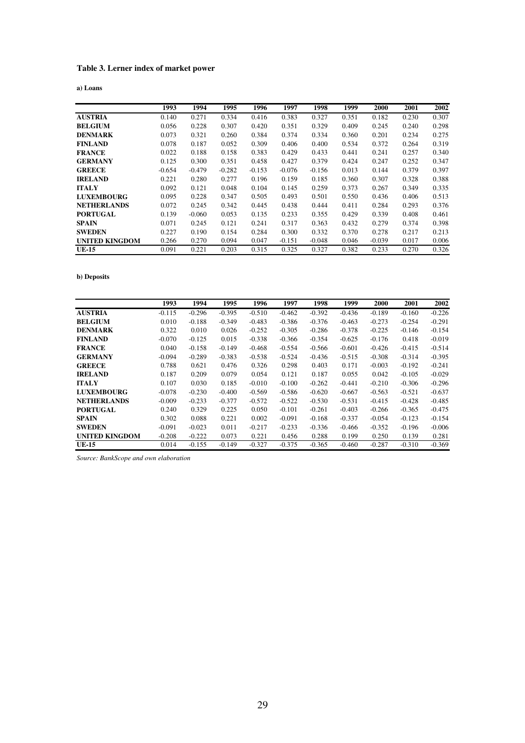## **Table 3. Lerner index of market power**

**a) Loans**

|                       | 1993     | 1994     | 1995     | 1996     | 1997     | 1998     | 1999  | 2000     | 2001  | 2002  |
|-----------------------|----------|----------|----------|----------|----------|----------|-------|----------|-------|-------|
| <b>AUSTRIA</b>        | 0.140    | 0.271    | 0.334    | 0.416    | 0.383    | 0.327    | 0.351 | 0.182    | 0.230 | 0.307 |
| <b>BELGIUM</b>        | 0.056    | 0.228    | 0.307    | 0.420    | 0.351    | 0.329    | 0.409 | 0.245    | 0.240 | 0.298 |
| <b>DENMARK</b>        | 0.073    | 0.321    | 0.260    | 0.384    | 0.374    | 0.334    | 0.360 | 0.201    | 0.234 | 0.275 |
| <b>FINLAND</b>        | 0.078    | 0.187    | 0.052    | 0.309    | 0.406    | 0.400    | 0.534 | 0.372    | 0.264 | 0.319 |
| <b>FRANCE</b>         | 0.022    | 0.188    | 0.158    | 0.383    | 0.429    | 0.433    | 0.441 | 0.241    | 0.257 | 0.340 |
| <b>GERMANY</b>        | 0.125    | 0.300    | 0.351    | 0.458    | 0.427    | 0.379    | 0.424 | 0.247    | 0.252 | 0.347 |
| <b>GREECE</b>         | $-0.654$ | $-0.479$ | $-0.282$ | $-0.153$ | $-0.076$ | $-0.156$ | 0.013 | 0.144    | 0.379 | 0.397 |
| <b>IRELAND</b>        | 0.221    | 0.280    | 0.277    | 0.196    | 0.159    | 0.185    | 0.360 | 0.307    | 0.328 | 0.388 |
| <b>ITALY</b>          | 0.092    | 0.121    | 0.048    | 0.104    | 0.145    | 0.259    | 0.373 | 0.267    | 0.349 | 0.335 |
| <b>LUXEMBOURG</b>     | 0.095    | 0.228    | 0.347    | 0.505    | 0.493    | 0.501    | 0.550 | 0.436    | 0.406 | 0.513 |
| <b>NETHERLANDS</b>    | 0.072    | 0.245    | 0.342    | 0.445    | 0.438    | 0.444    | 0.411 | 0.284    | 0.293 | 0.376 |
| <b>PORTUGAL</b>       | 0.139    | $-0.060$ | 0.053    | 0.135    | 0.233    | 0.355    | 0.429 | 0.339    | 0.408 | 0.461 |
| <b>SPAIN</b>          | 0.071    | 0.245    | 0.121    | 0.241    | 0.317    | 0.363    | 0.432 | 0.279    | 0.374 | 0.398 |
| <b>SWEDEN</b>         | 0.227    | 0.190    | 0.154    | 0.284    | 0.300    | 0.332    | 0.370 | 0.278    | 0.217 | 0.213 |
| <b>UNITED KINGDOM</b> | 0.266    | 0.270    | 0.094    | 0.047    | $-0.151$ | $-0.048$ | 0.046 | $-0.039$ | 0.017 | 0.006 |
| <b>UE-15</b>          | 0.091    | 0.221    | 0.203    | 0.315    | 0.325    | 0.327    | 0.382 | 0.233    | 0.270 | 0.326 |

#### **b) Deposits**

|                       | 1993     | 1994     | 1995     | 1996     | 1997     | 1998     | 1999     | 2000     | 2001     | 2002     |
|-----------------------|----------|----------|----------|----------|----------|----------|----------|----------|----------|----------|
| <b>AUSTRIA</b>        | $-0.115$ | $-0.296$ | $-0.395$ | $-0.510$ | $-0.462$ | $-0.392$ | $-0.436$ | $-0.189$ | $-0.160$ | $-0.226$ |
| <b>BELGIUM</b>        | 0.010    | $-0.188$ | $-0.349$ | $-0.483$ | $-0.386$ | $-0.376$ | $-0.463$ | $-0.273$ | $-0.254$ | $-0.291$ |
| <b>DENMARK</b>        | 0.322    | 0.010    | 0.026    | $-0.252$ | $-0.305$ | $-0.286$ | $-0.378$ | $-0.225$ | $-0.146$ | $-0.154$ |
| <b>FINLAND</b>        | -0.070   | $-0.125$ | 0.015    | $-0.338$ | $-0.366$ | $-0.354$ | $-0.625$ | $-0.176$ | 0.418    | $-0.019$ |
| <b>FRANCE</b>         | 0.040    | $-0.158$ | $-0.149$ | $-0.468$ | $-0.554$ | $-0.566$ | $-0.601$ | $-0.426$ | $-0.415$ | $-0.514$ |
| <b>GERMANY</b>        | $-0.094$ | $-0.289$ | $-0.383$ | $-0.538$ | $-0.524$ | $-0.436$ | $-0.515$ | $-0.308$ | $-0.314$ | $-0.395$ |
| <b>GREECE</b>         | 0.788    | 0.621    | 0.476    | 0.326    | 0.298    | 0.403    | 0.171    | $-0.003$ | $-0.192$ | $-0.241$ |
| <b>IRELAND</b>        | 0.187    | 0.209    | 0.079    | 0.054    | 0.121    | 0.187    | 0.055    | 0.042    | $-0.105$ | $-0.029$ |
| <b>ITALY</b>          | 0.107    | 0.030    | 0.185    | $-0.010$ | $-0.100$ | $-0.262$ | $-0.441$ | $-0.210$ | $-0.306$ | $-0.296$ |
| <b>LUXEMBOURG</b>     | $-0.078$ | $-0.230$ | $-0.400$ | $-0.569$ | $-0.586$ | $-0.620$ | $-0.667$ | $-0.563$ | $-0.521$ | $-0.637$ |
| <b>NETHERLANDS</b>    | $-0.009$ | $-0.233$ | $-0.377$ | $-0.572$ | $-0.522$ | $-0.530$ | $-0.531$ | $-0.415$ | $-0.428$ | $-0.485$ |
| <b>PORTUGAL</b>       | 0.240    | 0.329    | 0.225    | 0.050    | $-0.101$ | $-0.261$ | $-0.403$ | $-0.266$ | $-0.365$ | $-0.475$ |
| <b>SPAIN</b>          | 0.302    | 0.088    | 0.221    | 0.002    | $-0.091$ | $-0.168$ | $-0.337$ | $-0.054$ | $-0.123$ | $-0.154$ |
| <b>SWEDEN</b>         | $-0.091$ | $-0.023$ | 0.011    | $-0.217$ | $-0.233$ | $-0.336$ | $-0.466$ | $-0.352$ | $-0.196$ | $-0.006$ |
| <b>UNITED KINGDOM</b> | $-0.208$ | $-0.222$ | 0.073    | 0.221    | 0.456    | 0.288    | 0.199    | 0.250    | 0.139    | 0.281    |
| <b>UE-15</b>          | 0.014    | $-0.155$ | $-0.149$ | $-0.327$ | $-0.375$ | $-0.365$ | $-0.460$ | $-0.287$ | $-0.310$ | $-0.369$ |

*Source: BankScope and own elaboration*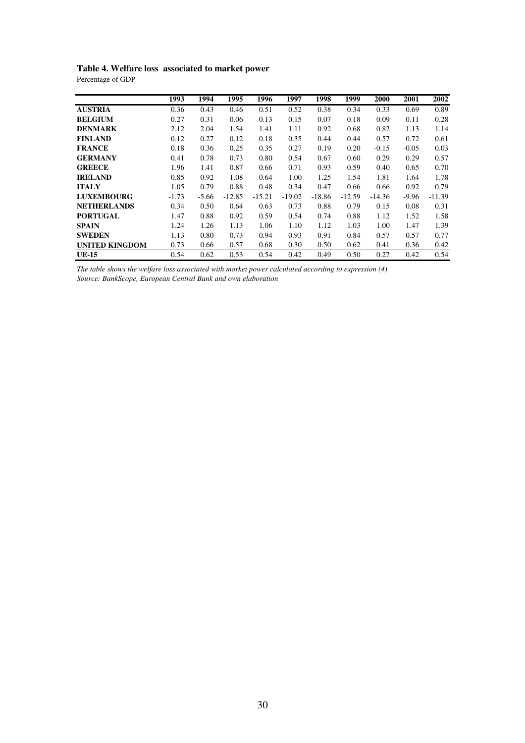|                       | 1993    | 1994    | 1995     | 1996     | 1997     | 1998     | 1999     | 2000     | 2001    | 2002     |
|-----------------------|---------|---------|----------|----------|----------|----------|----------|----------|---------|----------|
| <b>AUSTRIA</b>        | 0.36    | 0.43    | 0.46     | 0.51     | 0.52     | 0.38     | 0.34     | 0.33     | 0.69    | 0.89     |
| <b>BELGIUM</b>        | 0.27    | 0.31    | 0.06     | 0.13     | 0.15     | 0.07     | 0.18     | 0.09     | 0.11    | 0.28     |
| <b>DENMARK</b>        | 2.12    | 2.04    | 1.54     | 1.41     | 1.11     | 0.92     | 0.68     | 0.82     | 1.13    | 1.14     |
| <b>FINLAND</b>        | 0.12    | 0.27    | 0.12     | 0.18     | 0.35     | 0.44     | 0.44     | 0.57     | 0.72    | 0.61     |
| <b>FRANCE</b>         | 0.18    | 0.36    | 0.25     | 0.35     | 0.27     | 0.19     | 0.20     | $-0.15$  | $-0.05$ | 0.03     |
| <b>GERMANY</b>        | 0.41    | 0.78    | 0.73     | 0.80     | 0.54     | 0.67     | 0.60     | 0.29     | 0.29    | 0.57     |
| <b>GREECE</b>         | 1.96    | 1.41    | 0.87     | 0.66     | 0.71     | 0.93     | 0.59     | 0.40     | 0.65    | 0.70     |
| <b>IRELAND</b>        | 0.85    | 0.92    | 1.08     | 0.64     | 1.00     | 1.25     | 1.54     | 1.81     | 1.64    | 1.78     |
| <b>ITALY</b>          | 1.05    | 0.79    | 0.88     | 0.48     | 0.34     | 0.47     | 0.66     | 0.66     | 0.92    | 0.79     |
| <b>LUXEMBOURG</b>     | $-1.73$ | $-5.66$ | $-12.85$ | $-15.21$ | $-19.02$ | $-18.86$ | $-12.59$ | $-14.36$ | $-9.96$ | $-11.39$ |
| <b>NETHERLANDS</b>    | 0.34    | 0.50    | 0.64     | 0.63     | 0.73     | 0.88     | 0.79     | 0.15     | 0.08    | 0.31     |
| <b>PORTUGAL</b>       | 1.47    | 0.88    | 0.92     | 0.59     | 0.54     | 0.74     | 0.88     | 1.12     | 1.52    | 1.58     |
| <b>SPAIN</b>          | 1.24    | 1.26    | 1.13     | 1.06     | 1.10     | 1.12     | 1.03     | 1.00     | 1.47    | 1.39     |
| <b>SWEDEN</b>         | 1.13    | 0.80    | 0.73     | 0.94     | 0.93     | 0.91     | 0.84     | 0.57     | 0.57    | 0.77     |
| <b>UNITED KINGDOM</b> | 0.73    | 0.66    | 0.57     | 0.68     | 0.30     | 0.50     | 0.62     | 0.41     | 0.36    | 0.42     |
| <b>UE-15</b>          | 0.54    | 0.62    | 0.53     | 0.54     | 0.42     | 0.49     | 0.50     | 0.27     | 0.42    | 0.54     |

## **Table 4. Welfare loss associated to market power** Percentage of GDP

*The table shows the welfare loss associated with market power calculated according to expression (4) Source: BankScope, European Central Bank and own elaboration*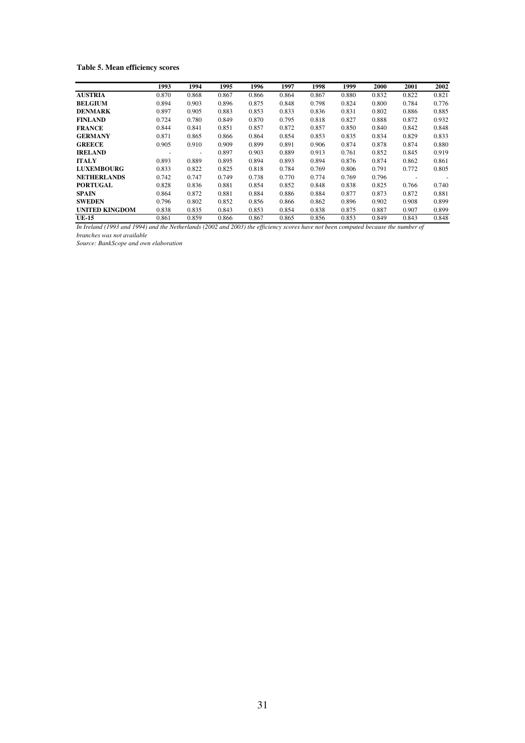## **Table 5. Mean efficiency scores**

|                       | 1993  | 1994                     | 1995  | 1996  | 1997  | 1998  | 1999  | 2000  | 2001  | 2002  |
|-----------------------|-------|--------------------------|-------|-------|-------|-------|-------|-------|-------|-------|
| <b>AUSTRIA</b>        | 0.870 | 0.868                    | 0.867 | 0.866 | 0.864 | 0.867 | 0.880 | 0.832 | 0.822 | 0.821 |
| <b>BELGIUM</b>        | 0.894 | 0.903                    | 0.896 | 0.875 | 0.848 | 0.798 | 0.824 | 0.800 | 0.784 | 0.776 |
| <b>DENMARK</b>        | 0.897 | 0.905                    | 0.883 | 0.853 | 0.833 | 0.836 | 0.831 | 0.802 | 0.886 | 0.885 |
| <b>FINLAND</b>        | 0.724 | 0.780                    | 0.849 | 0.870 | 0.795 | 0.818 | 0.827 | 0.888 | 0.872 | 0.932 |
| <b>FRANCE</b>         | 0.844 | 0.841                    | 0.851 | 0.857 | 0.872 | 0.857 | 0.850 | 0.840 | 0.842 | 0.848 |
| <b>GERMANY</b>        | 0.871 | 0.865                    | 0.866 | 0.864 | 0.854 | 0.853 | 0.835 | 0.834 | 0.829 | 0.833 |
| <b>GREECE</b>         | 0.905 | 0.910                    | 0.909 | 0.899 | 0.891 | 0.906 | 0.874 | 0.878 | 0.874 | 0.880 |
| <b>IRELAND</b>        |       | $\overline{\phantom{a}}$ | 0.897 | 0.903 | 0.889 | 0.913 | 0.761 | 0.852 | 0.845 | 0.919 |
| <b>ITALY</b>          | 0.893 | 0.889                    | 0.895 | 0.894 | 0.893 | 0.894 | 0.876 | 0.874 | 0.862 | 0.861 |
| <b>LUXEMBOURG</b>     | 0.833 | 0.822                    | 0.825 | 0.818 | 0.784 | 0.769 | 0.806 | 0.791 | 0.772 | 0.805 |
| <b>NETHERLANDS</b>    | 0.742 | 0.747                    | 0.749 | 0.738 | 0.770 | 0.774 | 0.769 | 0.796 |       |       |
| <b>PORTUGAL</b>       | 0.828 | 0.836                    | 0.881 | 0.854 | 0.852 | 0.848 | 0.838 | 0.825 | 0.766 | 0.740 |
| <b>SPAIN</b>          | 0.864 | 0.872                    | 0.881 | 0.884 | 0.886 | 0.884 | 0.877 | 0.873 | 0.872 | 0.881 |
| <b>SWEDEN</b>         | 0.796 | 0.802                    | 0.852 | 0.856 | 0.866 | 0.862 | 0.896 | 0.902 | 0.908 | 0.899 |
| <b>UNITED KINGDOM</b> | 0.838 | 0.835                    | 0.843 | 0.853 | 0.854 | 0.838 | 0.875 | 0.887 | 0.907 | 0.899 |
| <b>UE-15</b>          | 0.861 | 0.859                    | 0.866 | 0.867 | 0.865 | 0.856 | 0.853 | 0.849 | 0.843 | 0.848 |

*In Ireland (1993 and 1994) and the Netherlands (2002 and 2003) the efficiency scores have not been computed because the number of* 

*branches was not available*

*Source: BankScope and own elaboration*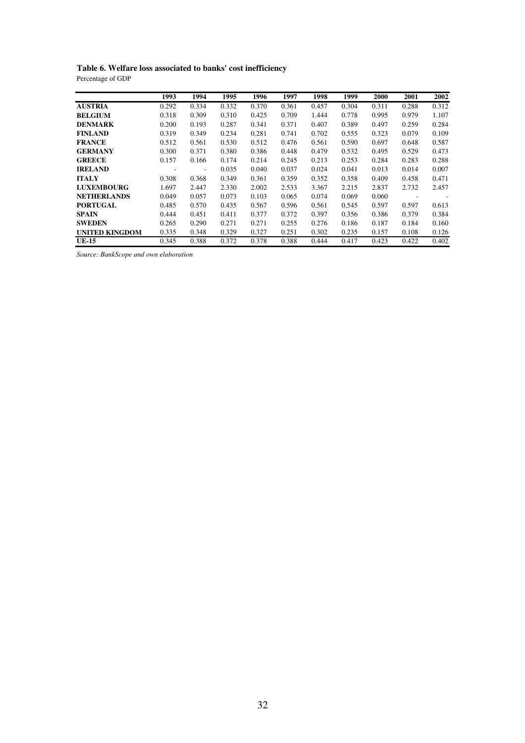|                       | 1993  | 1994                     | 1995  | 1996  | 1997  | 1998  | 1999  | 2000  | 2001  | 2002  |
|-----------------------|-------|--------------------------|-------|-------|-------|-------|-------|-------|-------|-------|
| <b>AUSTRIA</b>        | 0.292 | 0.334                    | 0.332 | 0.370 | 0.361 | 0.457 | 0.304 | 0.311 | 0.288 | 0.312 |
| <b>BELGIUM</b>        | 0.318 | 0.309                    | 0.310 | 0.425 | 0.709 | 1.444 | 0.778 | 0.995 | 0.979 | 1.107 |
| <b>DENMARK</b>        | 0.200 | 0.193                    | 0.287 | 0.341 | 0.371 | 0.407 | 0.389 | 0.497 | 0.259 | 0.284 |
| <b>FINLAND</b>        | 0.319 | 0.349                    | 0.234 | 0.281 | 0.741 | 0.702 | 0.555 | 0.323 | 0.079 | 0.109 |
| <b>FRANCE</b>         | 0.512 | 0.561                    | 0.530 | 0.512 | 0.476 | 0.561 | 0.590 | 0.697 | 0.648 | 0.587 |
| <b>GERMANY</b>        | 0.300 | 0.371                    | 0.380 | 0.386 | 0.448 | 0.479 | 0.532 | 0.495 | 0.529 | 0.473 |
| <b>GREECE</b>         | 0.157 | 0.166                    | 0.174 | 0.214 | 0.245 | 0.213 | 0.253 | 0.284 | 0.283 | 0.288 |
| <b>IRELAND</b>        |       | $\overline{\phantom{a}}$ | 0.035 | 0.040 | 0.037 | 0.024 | 0.041 | 0.013 | 0.014 | 0.007 |
| <b>ITALY</b>          | 0.308 | 0.368                    | 0.349 | 0.361 | 0.359 | 0.352 | 0.358 | 0.409 | 0.458 | 0.471 |
| <b>LUXEMBOURG</b>     | 1.697 | 2.447                    | 2.330 | 2.002 | 2.533 | 3.367 | 2.215 | 2.837 | 2.732 | 2.457 |
| <b>NETHERLANDS</b>    | 0.049 | 0.057                    | 0.073 | 0.103 | 0.065 | 0.074 | 0.069 | 0.060 |       |       |
| <b>PORTUGAL</b>       | 0.485 | 0.570                    | 0.435 | 0.567 | 0.596 | 0.561 | 0.545 | 0.597 | 0.597 | 0.613 |
| <b>SPAIN</b>          | 0.444 | 0.451                    | 0.411 | 0.377 | 0.372 | 0.397 | 0.356 | 0.386 | 0.379 | 0.384 |
| <b>SWEDEN</b>         | 0.265 | 0.290                    | 0.271 | 0.271 | 0.255 | 0.276 | 0.186 | 0.187 | 0.184 | 0.160 |
| <b>UNITED KINGDOM</b> | 0.335 | 0.348                    | 0.329 | 0.327 | 0.251 | 0.302 | 0.235 | 0.157 | 0.108 | 0.126 |
| <b>UE-15</b>          | 0.345 | 0.388                    | 0.372 | 0.378 | 0.388 | 0.444 | 0.417 | 0.423 | 0.422 | 0.402 |

### **Table 6. Welfare loss associated to banks' cost inefficiency** Percentage of GDP

*Source: BankScope and own elaboration*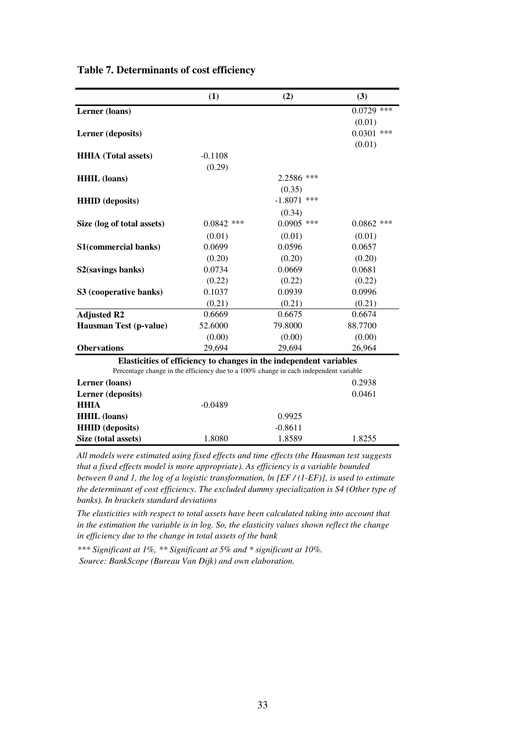|                               | (1)                                                                                   | (2)           | (3)          |
|-------------------------------|---------------------------------------------------------------------------------------|---------------|--------------|
| Lerner (loans)                |                                                                                       |               | $0.0729$ *** |
|                               |                                                                                       |               | (0.01)       |
| Lerner (deposits)             |                                                                                       |               | $0.0301$ *** |
|                               |                                                                                       |               | (0.01)       |
| <b>HHIA</b> (Total assets)    | $-0.1108$                                                                             |               |              |
|                               | (0.29)                                                                                |               |              |
| <b>HHIL</b> (loans)           |                                                                                       | 2.2586 ***    |              |
|                               |                                                                                       | (0.35)        |              |
| <b>HHID</b> (deposits)        |                                                                                       | $-1.8071$ *** |              |
|                               |                                                                                       | (0.34)        |              |
| Size (log of total assets)    | $0.0842$ ***                                                                          | $0.0905$ ***  | $0.0862$ *** |
|                               | (0.01)                                                                                | (0.01)        | (0.01)       |
| S1(commercial banks)          | 0.0699                                                                                | 0.0596        | 0.0657       |
|                               | (0.20)                                                                                | (0.20)        | (0.20)       |
| S2(savings banks)             | 0.0734                                                                                | 0.0669        | 0.0681       |
|                               | (0.22)                                                                                | (0.22)        | (0.22)       |
| S3 (cooperative banks)        | 0.1037                                                                                | 0.0939        | 0.0996       |
|                               | (0.21)                                                                                | (0.21)        | (0.21)       |
| <b>Adjusted R2</b>            | 0.6669                                                                                | 0.6675        | 0.6674       |
| <b>Hausman Test (p-value)</b> | 52.6000                                                                               | 79.8000       | 88.7700      |
|                               | (0.00)                                                                                | (0.00)        | (0.00)       |
| <b>Obervations</b>            | 29,694                                                                                | 29,694        | 26,964       |
|                               | Elasticities of efficiency to changes in the independent variables                    |               |              |
|                               | Percentage change in the efficiency due to a 100% change in each independent variable |               |              |
| Lerner (loans)                |                                                                                       |               | 0.2938       |
| Lerner (deposits)             |                                                                                       |               | 0.0461       |
| <b>HHIA</b>                   | $-0.0489$                                                                             |               |              |
| <b>HHIL</b> (loans)           |                                                                                       | 0.9925        |              |
| <b>HHID</b> (deposits)        |                                                                                       | $-0.8611$     |              |
| Size (total assets)           | 1.8080                                                                                | 1.8589        | 1.8255       |

## **Table 7. Determinants of cost efficiency**

*All models were estimated using fixed effects and time effects (the Hausman test suggests that a fixed effects model is more appropriate). As efficiency is a variable bounded between 0 and 1, the log of a logistic transformation, ln [EF / (1-EF)], is used to estimate the determinant of cost efficiency. The excluded dummy specialization is S4 (Other type of banks). In brackets standard deviations*

*The elasticities with respect to total assets have been calculated taking into account that in the estimation the variable is in log. So, the elasticity values shown reflect the change in efficiency due to the change in total assets of the bank*

*\*\*\* Significant at 1%, \*\* Significant at 5% and \* significant at 10%. Source: BankScope (Bureau Van Dijk) and own elaboration.*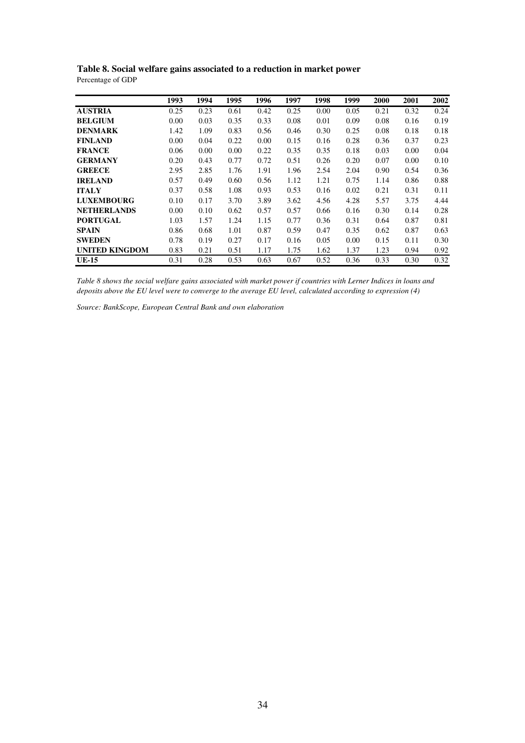|                       | 1993 | 1994 | 1995 | 1996 | 1997 | 1998 | 1999 | 2000 | 2001 | 2002 |
|-----------------------|------|------|------|------|------|------|------|------|------|------|
| <b>AUSTRIA</b>        | 0.25 | 0.23 | 0.61 | 0.42 | 0.25 | 0.00 | 0.05 | 0.21 | 0.32 | 0.24 |
| <b>BELGIUM</b>        | 0.00 | 0.03 | 0.35 | 0.33 | 0.08 | 0.01 | 0.09 | 0.08 | 0.16 | 0.19 |
| <b>DENMARK</b>        | 1.42 | 1.09 | 0.83 | 0.56 | 0.46 | 0.30 | 0.25 | 0.08 | 0.18 | 0.18 |
| <b>FINLAND</b>        | 0.00 | 0.04 | 0.22 | 0.00 | 0.15 | 0.16 | 0.28 | 0.36 | 0.37 | 0.23 |
| <b>FRANCE</b>         | 0.06 | 0.00 | 0.00 | 0.22 | 0.35 | 0.35 | 0.18 | 0.03 | 0.00 | 0.04 |
| <b>GERMANY</b>        | 0.20 | 0.43 | 0.77 | 0.72 | 0.51 | 0.26 | 0.20 | 0.07 | 0.00 | 0.10 |
| <b>GREECE</b>         | 2.95 | 2.85 | 1.76 | 1.91 | 1.96 | 2.54 | 2.04 | 0.90 | 0.54 | 0.36 |
| <b>IRELAND</b>        | 0.57 | 0.49 | 0.60 | 0.56 | 1.12 | 1.21 | 0.75 | 1.14 | 0.86 | 0.88 |
| <b>ITALY</b>          | 0.37 | 0.58 | 1.08 | 0.93 | 0.53 | 0.16 | 0.02 | 0.21 | 0.31 | 0.11 |
| <b>LUXEMBOURG</b>     | 0.10 | 0.17 | 3.70 | 3.89 | 3.62 | 4.56 | 4.28 | 5.57 | 3.75 | 4.44 |
| <b>NETHERLANDS</b>    | 0.00 | 0.10 | 0.62 | 0.57 | 0.57 | 0.66 | 0.16 | 0.30 | 0.14 | 0.28 |
| <b>PORTUGAL</b>       | 1.03 | 1.57 | 1.24 | 1.15 | 0.77 | 0.36 | 0.31 | 0.64 | 0.87 | 0.81 |
| <b>SPAIN</b>          | 0.86 | 0.68 | 1.01 | 0.87 | 0.59 | 0.47 | 0.35 | 0.62 | 0.87 | 0.63 |
| <b>SWEDEN</b>         | 0.78 | 0.19 | 0.27 | 0.17 | 0.16 | 0.05 | 0.00 | 0.15 | 0.11 | 0.30 |
| <b>UNITED KINGDOM</b> | 0.83 | 0.21 | 0.51 | 1.17 | 1.75 | 1.62 | 1.37 | 1.23 | 0.94 | 0.92 |
| <b>UE-15</b>          | 0.31 | 0.28 | 0.53 | 0.63 | 0.67 | 0.52 | 0.36 | 0.33 | 0.30 | 0.32 |

**Table 8. Social welfare gains associated to a reduction in market power** Percentage of GDP

*Table 8 shows the social welfare gains associated with market power if countries with Lerner Indices in loans and deposits above the EU level were to converge to the average EU level, calculated according to expression (4)*

*Source: BankScope, European Central Bank and own elaboration*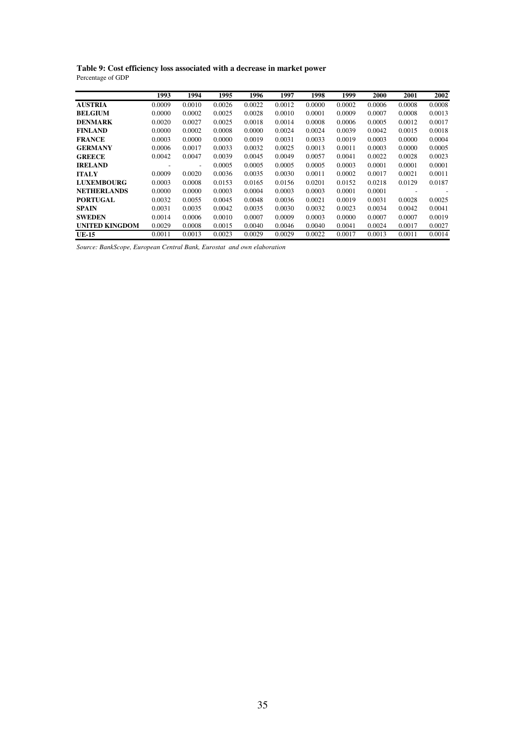|                       | 1993   | 1994                     | 1995   | 1996   | 1997   | 1998   | 1999   | 2000   | 2001   | 2002   |
|-----------------------|--------|--------------------------|--------|--------|--------|--------|--------|--------|--------|--------|
| <b>AUSTRIA</b>        | 0.0009 | 0.0010                   | 0.0026 | 0.0022 | 0.0012 | 0.0000 | 0.0002 | 0.0006 | 0.0008 | 0.0008 |
| <b>BELGIUM</b>        | 0.0000 | 0.0002                   | 0.0025 | 0.0028 | 0.0010 | 0.0001 | 0.0009 | 0.0007 | 0.0008 | 0.0013 |
| <b>DENMARK</b>        | 0.0020 | 0.0027                   | 0.0025 | 0.0018 | 0.0014 | 0.0008 | 0.0006 | 0.0005 | 0.0012 | 0.0017 |
| <b>FINLAND</b>        | 0.0000 | 0.0002                   | 0.0008 | 0.0000 | 0.0024 | 0.0024 | 0.0039 | 0.0042 | 0.0015 | 0.0018 |
| <b>FRANCE</b>         | 0.0003 | 0.0000                   | 0.0000 | 0.0019 | 0.0031 | 0.0033 | 0.0019 | 0.0003 | 0.0000 | 0.0004 |
| <b>GERMANY</b>        | 0.0006 | 0.0017                   | 0.0033 | 0.0032 | 0.0025 | 0.0013 | 0.0011 | 0.0003 | 0.0000 | 0.0005 |
| <b>GREECE</b>         | 0.0042 | 0.0047                   | 0.0039 | 0.0045 | 0.0049 | 0.0057 | 0.0041 | 0.0022 | 0.0028 | 0.0023 |
| <b>IRELAND</b>        |        | $\overline{\phantom{0}}$ | 0.0005 | 0.0005 | 0.0005 | 0.0005 | 0.0003 | 0.0001 | 0.0001 | 0.0001 |
| <b>ITALY</b>          | 0.0009 | 0.0020                   | 0.0036 | 0.0035 | 0.0030 | 0.0011 | 0.0002 | 0.0017 | 0.0021 | 0.0011 |
| <b>LUXEMBOURG</b>     | 0.0003 | 0.0008                   | 0.0153 | 0.0165 | 0.0156 | 0.0201 | 0.0152 | 0.0218 | 0.0129 | 0.0187 |
| <b>NETHERLANDS</b>    | 0.0000 | 0.0000                   | 0.0003 | 0.0004 | 0.0003 | 0.0003 | 0.0001 | 0.0001 |        |        |
| <b>PORTUGAL</b>       | 0.0032 | 0.0055                   | 0.0045 | 0.0048 | 0.0036 | 0.0021 | 0.0019 | 0.0031 | 0.0028 | 0.0025 |
| <b>SPAIN</b>          | 0.0031 | 0.0035                   | 0.0042 | 0.0035 | 0.0030 | 0.0032 | 0.0023 | 0.0034 | 0.0042 | 0.0041 |
| <b>SWEDEN</b>         | 0.0014 | 0.0006                   | 0.0010 | 0.0007 | 0.0009 | 0.0003 | 0.0000 | 0.0007 | 0.0007 | 0.0019 |
| <b>UNITED KINGDOM</b> | 0.0029 | 0.0008                   | 0.0015 | 0.0040 | 0.0046 | 0.0040 | 0.0041 | 0.0024 | 0.0017 | 0.0027 |
| <b>UE-15</b>          | 0.0011 | 0.0013                   | 0.0023 | 0.0029 | 0.0029 | 0.0022 | 0.0017 | 0.0013 | 0.0011 | 0.0014 |

**Table 9: Cost efficiency loss associated with a decrease in market power** Percentage of GDP

*Source: BankScope, European Central Bank, Eurostat and own elaboration*